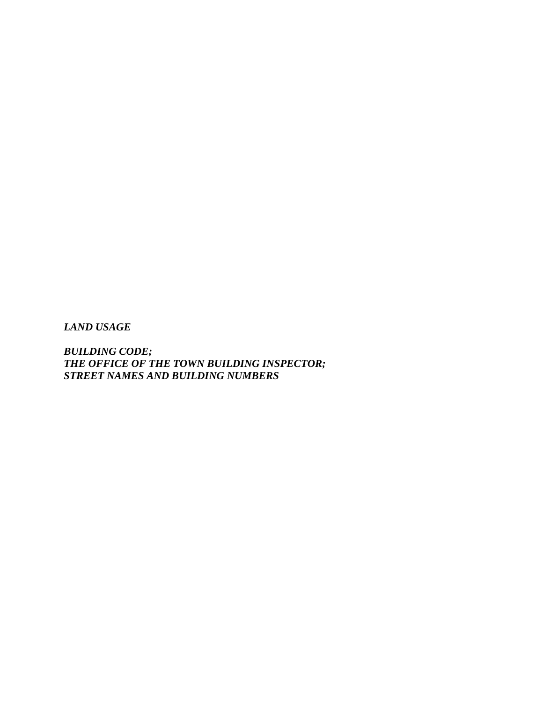*LAND USAGE*

*BUILDING CODE; THE OFFICE OF THE TOWN BUILDING INSPECTOR; STREET NAMES AND BUILDING NUMBERS*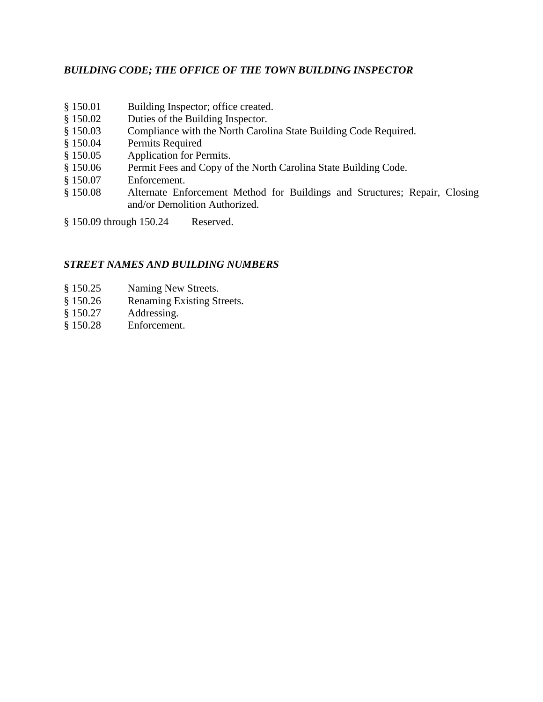## *BUILDING CODE; THE OFFICE OF THE TOWN BUILDING INSPECTOR*

- § 150.01 Building Inspector; office created.
- § 150.02 Duties of the Building Inspector.
- § 150.03 Compliance with the North Carolina State Building Code Required.
- § 150.04 Permits Required
- § 150.05 Application for Permits.
- § 150.06 Permit Fees and Copy of the North Carolina State Building Code.
- § 150.07 Enforcement.
- § 150.08 Alternate Enforcement Method for Buildings and Structures; Repair, Closing and/or Demolition Authorized.
- § 150.09 through 150.24 Reserved.

### *STREET NAMES AND BUILDING NUMBERS*

- § 150.25 Naming New Streets.
- § 150.26 Renaming Existing Streets.
- § 150.27 Addressing.
- § 150.28 Enforcement.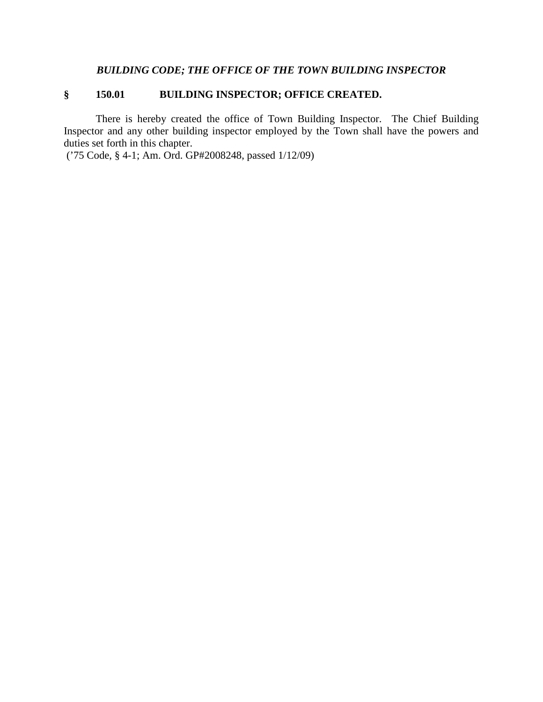## *BUILDING CODE; THE OFFICE OF THE TOWN BUILDING INSPECTOR*

## **§ 150.01 BUILDING INSPECTOR; OFFICE CREATED.**

There is hereby created the office of Town Building Inspector. The Chief Building Inspector and any other building inspector employed by the Town shall have the powers and duties set forth in this chapter.

('75 Code, § 4-1; Am. Ord. GP#2008248, passed 1/12/09)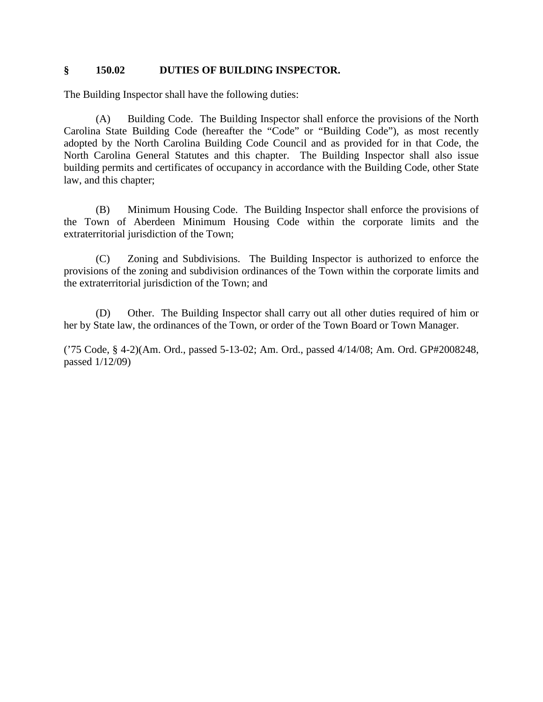#### **§ 150.02 DUTIES OF BUILDING INSPECTOR.**

The Building Inspector shall have the following duties:

(A) Building Code. The Building Inspector shall enforce the provisions of the North Carolina State Building Code (hereafter the "Code" or "Building Code"), as most recently adopted by the North Carolina Building Code Council and as provided for in that Code, the North Carolina General Statutes and this chapter. The Building Inspector shall also issue building permits and certificates of occupancy in accordance with the Building Code, other State law, and this chapter;

(B) Minimum Housing Code. The Building Inspector shall enforce the provisions of the Town of Aberdeen Minimum Housing Code within the corporate limits and the extraterritorial jurisdiction of the Town;

(C) Zoning and Subdivisions. The Building Inspector is authorized to enforce the provisions of the zoning and subdivision ordinances of the Town within the corporate limits and the extraterritorial jurisdiction of the Town; and

(D) Other. The Building Inspector shall carry out all other duties required of him or her by State law, the ordinances of the Town, or order of the Town Board or Town Manager.

('75 Code, § 4-2)(Am. Ord., passed 5-13-02; Am. Ord., passed 4/14/08; Am. Ord. GP#2008248, passed 1/12/09)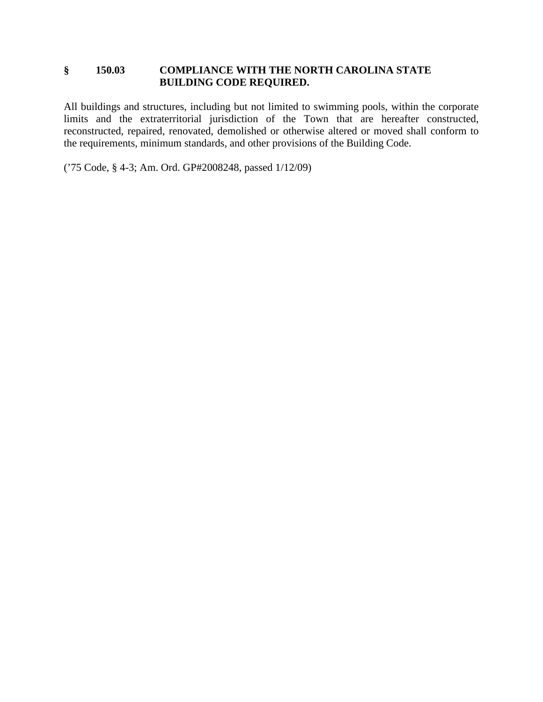## **§ 150.03 COMPLIANCE WITH THE NORTH CAROLINA STATE BUILDING CODE REQUIRED.**

All buildings and structures, including but not limited to swimming pools, within the corporate limits and the extraterritorial jurisdiction of the Town that are hereafter constructed, reconstructed, repaired, renovated, demolished or otherwise altered or moved shall conform to the requirements, minimum standards, and other provisions of the Building Code.

('75 Code, § 4-3; Am. Ord. GP#2008248, passed 1/12/09)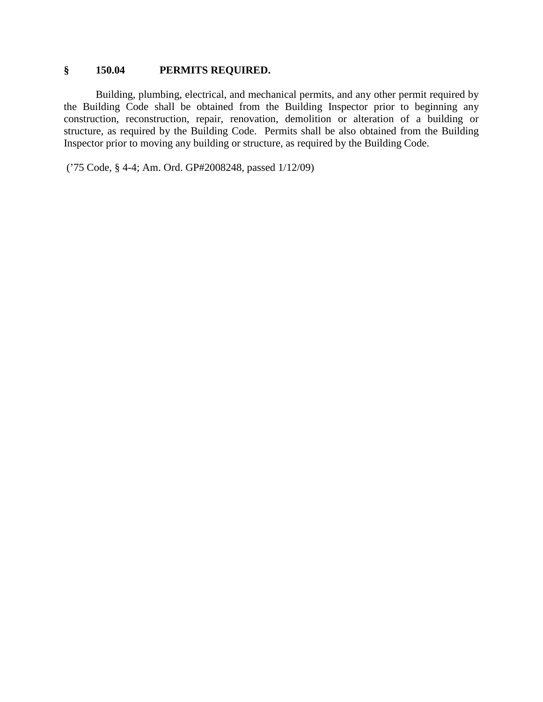## **§ 150.04 PERMITS REQUIRED.**

Building, plumbing, electrical, and mechanical permits, and any other permit required by the Building Code shall be obtained from the Building Inspector prior to beginning any construction, reconstruction, repair, renovation, demolition or alteration of a building or structure, as required by the Building Code. Permits shall be also obtained from the Building Inspector prior to moving any building or structure, as required by the Building Code.

('75 Code, § 4-4; Am. Ord. GP#2008248, passed 1/12/09)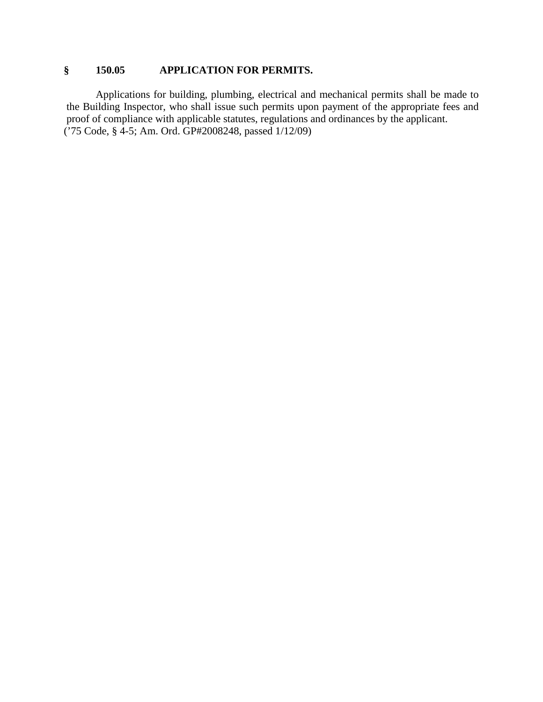## **§ 150.05 APPLICATION FOR PERMITS.**

Applications for building, plumbing, electrical and mechanical permits shall be made to the Building Inspector, who shall issue such permits upon payment of the appropriate fees and proof of compliance with applicable statutes, regulations and ordinances by the applicant. ('75 Code, § 4-5; Am. Ord. GP#2008248, passed 1/12/09)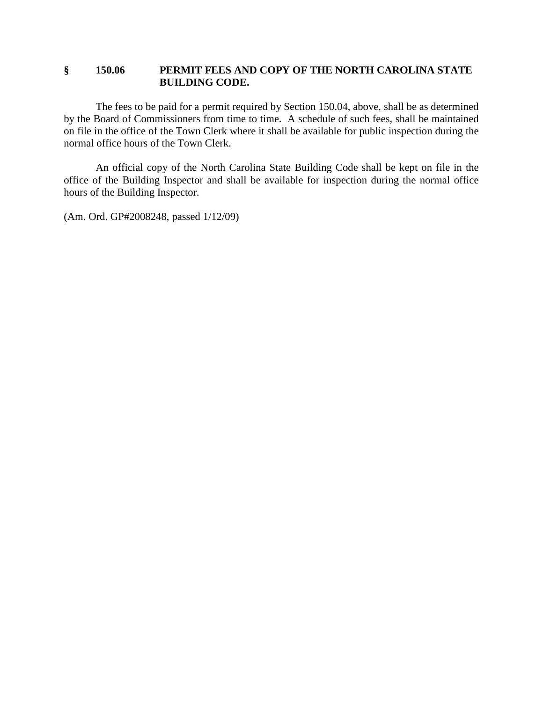#### **§ 150.06 PERMIT FEES AND COPY OF THE NORTH CAROLINA STATE BUILDING CODE.**

The fees to be paid for a permit required by Section 150.04, above, shall be as determined by the Board of Commissioners from time to time. A schedule of such fees, shall be maintained on file in the office of the Town Clerk where it shall be available for public inspection during the normal office hours of the Town Clerk.

An official copy of the North Carolina State Building Code shall be kept on file in the office of the Building Inspector and shall be available for inspection during the normal office hours of the Building Inspector.

(Am. Ord. GP#2008248, passed 1/12/09)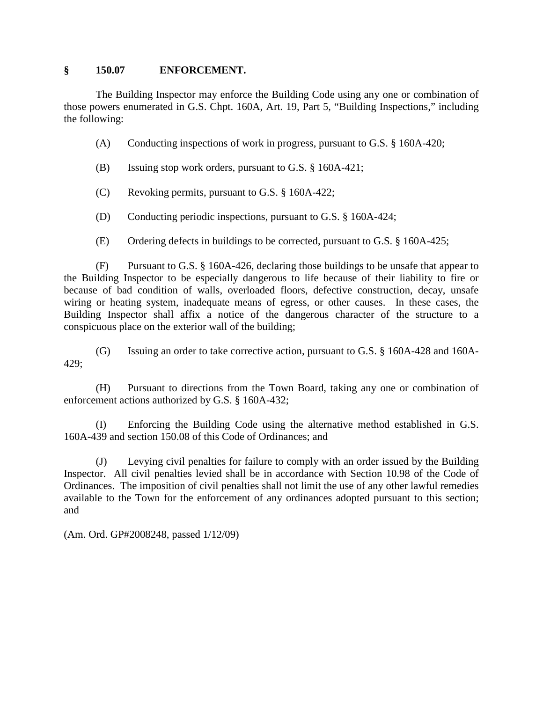#### **§ 150.07 ENFORCEMENT.**

The Building Inspector may enforce the Building Code using any one or combination of those powers enumerated in G.S. Chpt. 160A, Art. 19, Part 5, "Building Inspections," including the following:

- (A) Conducting inspections of work in progress, pursuant to G.S. § 160A-420;
- (B) Issuing stop work orders, pursuant to G.S. § 160A-421;
- (C) Revoking permits, pursuant to G.S. § 160A-422;
- (D) Conducting periodic inspections, pursuant to G.S. § 160A-424;
- (E) Ordering defects in buildings to be corrected, pursuant to G.S. § 160A-425;

(F) Pursuant to G.S. § 160A-426, declaring those buildings to be unsafe that appear to the Building Inspector to be especially dangerous to life because of their liability to fire or because of bad condition of walls, overloaded floors, defective construction, decay, unsafe wiring or heating system, inadequate means of egress, or other causes. In these cases, the Building Inspector shall affix a notice of the dangerous character of the structure to a conspicuous place on the exterior wall of the building;

(G) Issuing an order to take corrective action, pursuant to G.S. § 160A-428 and 160A-429;

(H) Pursuant to directions from the Town Board, taking any one or combination of enforcement actions authorized by G.S. § 160A-432;

(I) Enforcing the Building Code using the alternative method established in G.S. 160A-439 and section 150.08 of this Code of Ordinances; and

(J) Levying civil penalties for failure to comply with an order issued by the Building Inspector. All civil penalties levied shall be in accordance with Section 10.98 of the Code of Ordinances. The imposition of civil penalties shall not limit the use of any other lawful remedies available to the Town for the enforcement of any ordinances adopted pursuant to this section; and

(Am. Ord. GP#2008248, passed 1/12/09)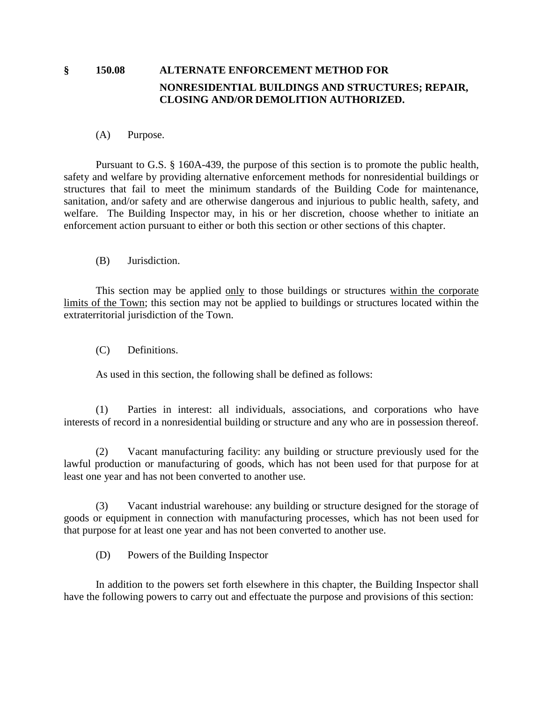## **§ 150.08 ALTERNATE ENFORCEMENT METHOD FOR NONRESIDENTIAL BUILDINGS AND STRUCTURES; REPAIR, CLOSING AND/OR DEMOLITION AUTHORIZED.**

#### (A) Purpose.

Pursuant to G.S. § 160A-439, the purpose of this section is to promote the public health, safety and welfare by providing alternative enforcement methods for nonresidential buildings or structures that fail to meet the minimum standards of the Building Code for maintenance, sanitation, and/or safety and are otherwise dangerous and injurious to public health, safety, and welfare. The Building Inspector may, in his or her discretion, choose whether to initiate an enforcement action pursuant to either or both this section or other sections of this chapter.

(B) Jurisdiction.

This section may be applied only to those buildings or structures within the corporate limits of the Town; this section may not be applied to buildings or structures located within the extraterritorial jurisdiction of the Town.

(C) Definitions.

As used in this section, the following shall be defined as follows:

(1) Parties in interest: all individuals, associations, and corporations who have interests of record in a nonresidential building or structure and any who are in possession thereof.

(2) Vacant manufacturing facility: any building or structure previously used for the lawful production or manufacturing of goods, which has not been used for that purpose for at least one year and has not been converted to another use.

(3) Vacant industrial warehouse: any building or structure designed for the storage of goods or equipment in connection with manufacturing processes, which has not been used for that purpose for at least one year and has not been converted to another use.

(D) Powers of the Building Inspector

In addition to the powers set forth elsewhere in this chapter, the Building Inspector shall have the following powers to carry out and effectuate the purpose and provisions of this section: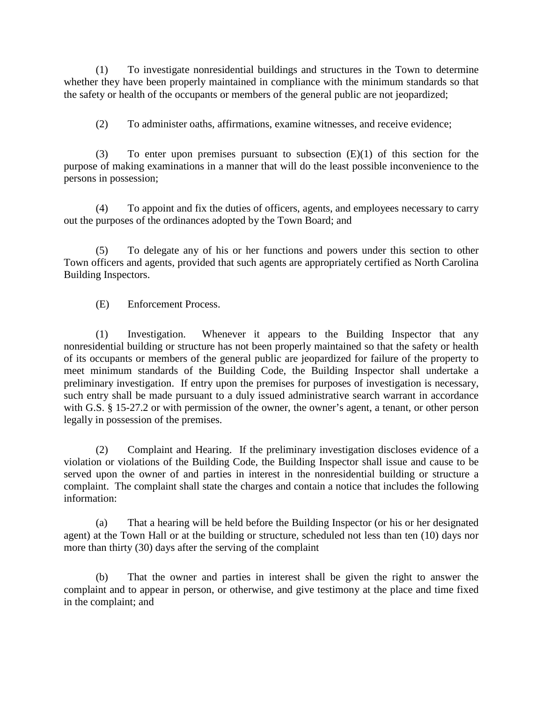(1) To investigate nonresidential buildings and structures in the Town to determine whether they have been properly maintained in compliance with the minimum standards so that the safety or health of the occupants or members of the general public are not jeopardized;

(2) To administer oaths, affirmations, examine witnesses, and receive evidence;

(3) To enter upon premises pursuant to subsection (E)(1) of this section for the purpose of making examinations in a manner that will do the least possible inconvenience to the persons in possession;

(4) To appoint and fix the duties of officers, agents, and employees necessary to carry out the purposes of the ordinances adopted by the Town Board; and

(5) To delegate any of his or her functions and powers under this section to other Town officers and agents, provided that such agents are appropriately certified as North Carolina Building Inspectors.

(E) Enforcement Process.

(1) Investigation. Whenever it appears to the Building Inspector that any nonresidential building or structure has not been properly maintained so that the safety or health of its occupants or members of the general public are jeopardized for failure of the property to meet minimum standards of the Building Code, the Building Inspector shall undertake a preliminary investigation. If entry upon the premises for purposes of investigation is necessary, such entry shall be made pursuant to a duly issued administrative search warrant in accordance with G.S. § 15-27.2 or with permission of the owner, the owner's agent, a tenant, or other person legally in possession of the premises.

(2) Complaint and Hearing. If the preliminary investigation discloses evidence of a violation or violations of the Building Code, the Building Inspector shall issue and cause to be served upon the owner of and parties in interest in the nonresidential building or structure a complaint. The complaint shall state the charges and contain a notice that includes the following information:

(a) That a hearing will be held before the Building Inspector (or his or her designated agent) at the Town Hall or at the building or structure, scheduled not less than ten (10) days nor more than thirty (30) days after the serving of the complaint

(b) That the owner and parties in interest shall be given the right to answer the complaint and to appear in person, or otherwise, and give testimony at the place and time fixed in the complaint; and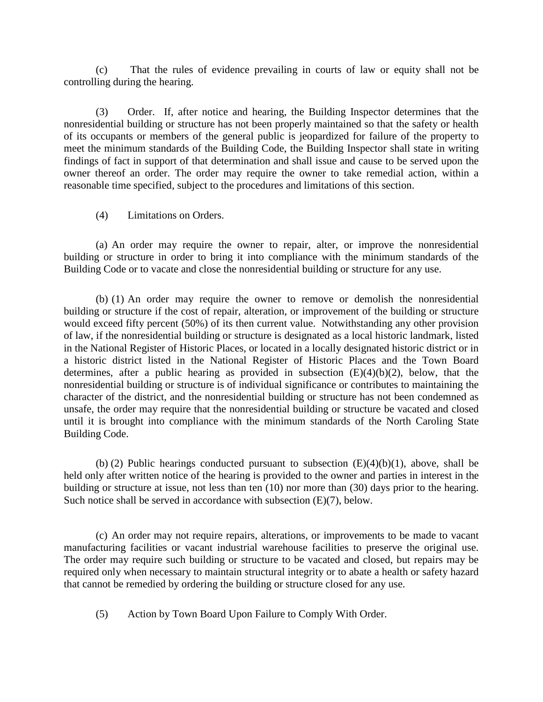(c) That the rules of evidence prevailing in courts of law or equity shall not be controlling during the hearing.

(3) Order. If, after notice and hearing, the Building Inspector determines that the nonresidential building or structure has not been properly maintained so that the safety or health of its occupants or members of the general public is jeopardized for failure of the property to meet the minimum standards of the Building Code, the Building Inspector shall state in writing findings of fact in support of that determination and shall issue and cause to be served upon the owner thereof an order. The order may require the owner to take remedial action, within a reasonable time specified, subject to the procedures and limitations of this section.

(4) Limitations on Orders.

(a) An order may require the owner to repair, alter, or improve the nonresidential building or structure in order to bring it into compliance with the minimum standards of the Building Code or to vacate and close the nonresidential building or structure for any use.

(b) (1) An order may require the owner to remove or demolish the nonresidential building or structure if the cost of repair, alteration, or improvement of the building or structure would exceed fifty percent (50%) of its then current value. Notwithstanding any other provision of law, if the nonresidential building or structure is designated as a local historic landmark, listed in the National Register of Historic Places, or located in a locally designated historic district or in a historic district listed in the National Register of Historic Places and the Town Board determines, after a public hearing as provided in subsection  $(E)(4)(b)(2)$ , below, that the nonresidential building or structure is of individual significance or contributes to maintaining the character of the district, and the nonresidential building or structure has not been condemned as unsafe, the order may require that the nonresidential building or structure be vacated and closed until it is brought into compliance with the minimum standards of the North Caroling State Building Code.

(b) (2) Public hearings conducted pursuant to subsection  $(E)(4)(b)(1)$ , above, shall be held only after written notice of the hearing is provided to the owner and parties in interest in the building or structure at issue, not less than ten (10) nor more than (30) days prior to the hearing. Such notice shall be served in accordance with subsection (E)(7), below.

(c) An order may not require repairs, alterations, or improvements to be made to vacant manufacturing facilities or vacant industrial warehouse facilities to preserve the original use. The order may require such building or structure to be vacated and closed, but repairs may be required only when necessary to maintain structural integrity or to abate a health or safety hazard that cannot be remedied by ordering the building or structure closed for any use.

(5) Action by Town Board Upon Failure to Comply With Order.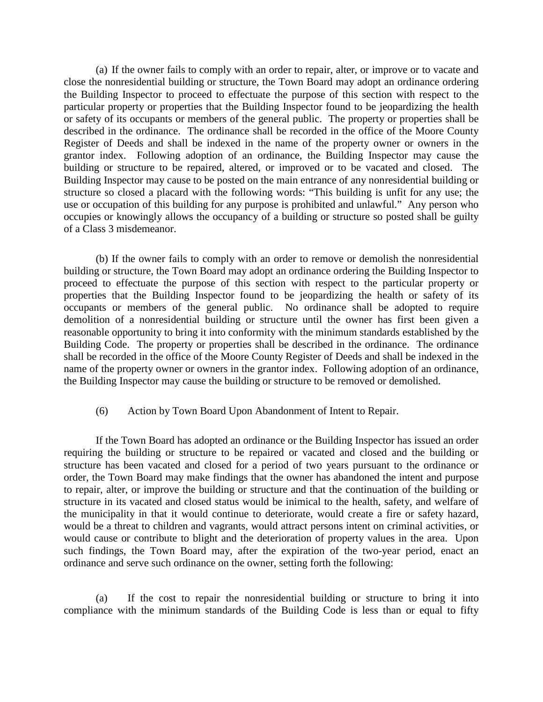(a) If the owner fails to comply with an order to repair, alter, or improve or to vacate and close the nonresidential building or structure, the Town Board may adopt an ordinance ordering the Building Inspector to proceed to effectuate the purpose of this section with respect to the particular property or properties that the Building Inspector found to be jeopardizing the health or safety of its occupants or members of the general public. The property or properties shall be described in the ordinance. The ordinance shall be recorded in the office of the Moore County Register of Deeds and shall be indexed in the name of the property owner or owners in the grantor index. Following adoption of an ordinance, the Building Inspector may cause the building or structure to be repaired, altered, or improved or to be vacated and closed. The Building Inspector may cause to be posted on the main entrance of any nonresidential building or structure so closed a placard with the following words: "This building is unfit for any use; the use or occupation of this building for any purpose is prohibited and unlawful." Any person who occupies or knowingly allows the occupancy of a building or structure so posted shall be guilty of a Class 3 misdemeanor.

(b) If the owner fails to comply with an order to remove or demolish the nonresidential building or structure, the Town Board may adopt an ordinance ordering the Building Inspector to proceed to effectuate the purpose of this section with respect to the particular property or properties that the Building Inspector found to be jeopardizing the health or safety of its occupants or members of the general public. No ordinance shall be adopted to require demolition of a nonresidential building or structure until the owner has first been given a reasonable opportunity to bring it into conformity with the minimum standards established by the Building Code. The property or properties shall be described in the ordinance. The ordinance shall be recorded in the office of the Moore County Register of Deeds and shall be indexed in the name of the property owner or owners in the grantor index. Following adoption of an ordinance, the Building Inspector may cause the building or structure to be removed or demolished.

#### (6) Action by Town Board Upon Abandonment of Intent to Repair.

If the Town Board has adopted an ordinance or the Building Inspector has issued an order requiring the building or structure to be repaired or vacated and closed and the building or structure has been vacated and closed for a period of two years pursuant to the ordinance or order, the Town Board may make findings that the owner has abandoned the intent and purpose to repair, alter, or improve the building or structure and that the continuation of the building or structure in its vacated and closed status would be inimical to the health, safety, and welfare of the municipality in that it would continue to deteriorate, would create a fire or safety hazard, would be a threat to children and vagrants, would attract persons intent on criminal activities, or would cause or contribute to blight and the deterioration of property values in the area. Upon such findings, the Town Board may, after the expiration of the two-year period, enact an ordinance and serve such ordinance on the owner, setting forth the following:

(a) If the cost to repair the nonresidential building or structure to bring it into compliance with the minimum standards of the Building Code is less than or equal to fifty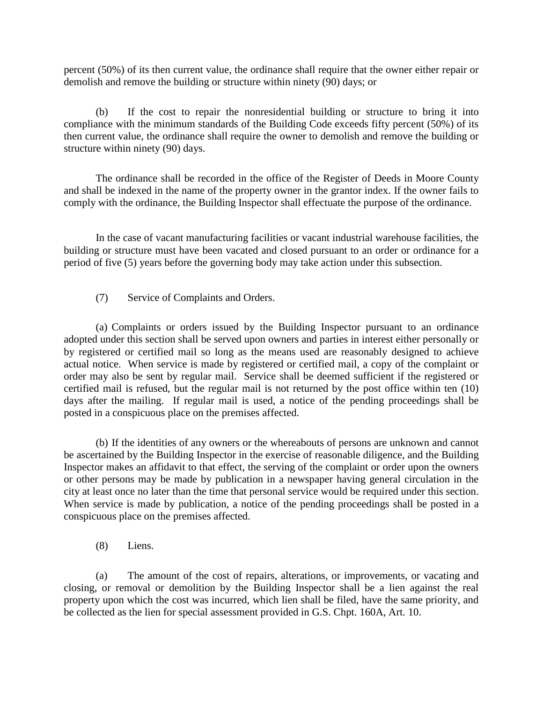percent (50%) of its then current value, the ordinance shall require that the owner either repair or demolish and remove the building or structure within ninety (90) days; or

(b) If the cost to repair the nonresidential building or structure to bring it into compliance with the minimum standards of the Building Code exceeds fifty percent (50%) of its then current value, the ordinance shall require the owner to demolish and remove the building or structure within ninety (90) days.

The ordinance shall be recorded in the office of the Register of Deeds in Moore County and shall be indexed in the name of the property owner in the grantor index. If the owner fails to comply with the ordinance, the Building Inspector shall effectuate the purpose of the ordinance.

In the case of vacant manufacturing facilities or vacant industrial warehouse facilities, the building or structure must have been vacated and closed pursuant to an order or ordinance for a period of five (5) years before the governing body may take action under this subsection.

(7) Service of Complaints and Orders.

(a) Complaints or orders issued by the Building Inspector pursuant to an ordinance adopted under this section shall be served upon owners and parties in interest either personally or by registered or certified mail so long as the means used are reasonably designed to achieve actual notice. When service is made by registered or certified mail, a copy of the complaint or order may also be sent by regular mail. Service shall be deemed sufficient if the registered or certified mail is refused, but the regular mail is not returned by the post office within ten (10) days after the mailing. If regular mail is used, a notice of the pending proceedings shall be posted in a conspicuous place on the premises affected.

(b) If the identities of any owners or the whereabouts of persons are unknown and cannot be ascertained by the Building Inspector in the exercise of reasonable diligence, and the Building Inspector makes an affidavit to that effect, the serving of the complaint or order upon the owners or other persons may be made by publication in a newspaper having general circulation in the city at least once no later than the time that personal service would be required under this section. When service is made by publication, a notice of the pending proceedings shall be posted in a conspicuous place on the premises affected.

(8) Liens.

(a) The amount of the cost of repairs, alterations, or improvements, or vacating and closing, or removal or demolition by the Building Inspector shall be a lien against the real property upon which the cost was incurred, which lien shall be filed, have the same priority, and be collected as the lien for special assessment provided in G.S. Chpt. 160A, Art. 10.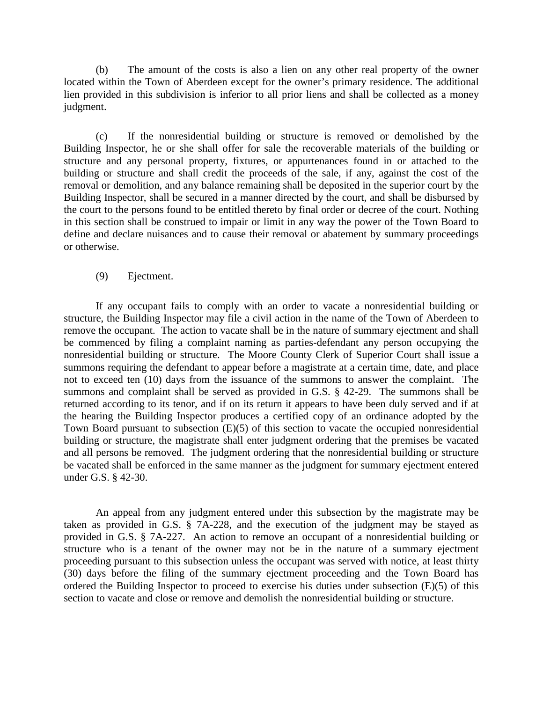(b) The amount of the costs is also a lien on any other real property of the owner located within the Town of Aberdeen except for the owner's primary residence. The additional lien provided in this subdivision is inferior to all prior liens and shall be collected as a money judgment.

(c) If the nonresidential building or structure is removed or demolished by the Building Inspector, he or she shall offer for sale the recoverable materials of the building or structure and any personal property, fixtures, or appurtenances found in or attached to the building or structure and shall credit the proceeds of the sale, if any, against the cost of the removal or demolition, and any balance remaining shall be deposited in the superior court by the Building Inspector, shall be secured in a manner directed by the court, and shall be disbursed by the court to the persons found to be entitled thereto by final order or decree of the court. Nothing in this section shall be construed to impair or limit in any way the power of the Town Board to define and declare nuisances and to cause their removal or abatement by summary proceedings or otherwise.

#### (9) Ejectment.

If any occupant fails to comply with an order to vacate a nonresidential building or structure, the Building Inspector may file a civil action in the name of the Town of Aberdeen to remove the occupant. The action to vacate shall be in the nature of summary ejectment and shall be commenced by filing a complaint naming as parties-defendant any person occupying the nonresidential building or structure. The Moore County Clerk of Superior Court shall issue a summons requiring the defendant to appear before a magistrate at a certain time, date, and place not to exceed ten (10) days from the issuance of the summons to answer the complaint. The summons and complaint shall be served as provided in G.S. § 42-29. The summons shall be returned according to its tenor, and if on its return it appears to have been duly served and if at the hearing the Building Inspector produces a certified copy of an ordinance adopted by the Town Board pursuant to subsection (E)(5) of this section to vacate the occupied nonresidential building or structure, the magistrate shall enter judgment ordering that the premises be vacated and all persons be removed. The judgment ordering that the nonresidential building or structure be vacated shall be enforced in the same manner as the judgment for summary ejectment entered under G.S. § 42-30.

An appeal from any judgment entered under this subsection by the magistrate may be taken as provided in G.S. § 7A-228, and the execution of the judgment may be stayed as provided in G.S. § 7A-227. An action to remove an occupant of a nonresidential building or structure who is a tenant of the owner may not be in the nature of a summary ejectment proceeding pursuant to this subsection unless the occupant was served with notice, at least thirty (30) days before the filing of the summary ejectment proceeding and the Town Board has ordered the Building Inspector to proceed to exercise his duties under subsection (E)(5) of this section to vacate and close or remove and demolish the nonresidential building or structure.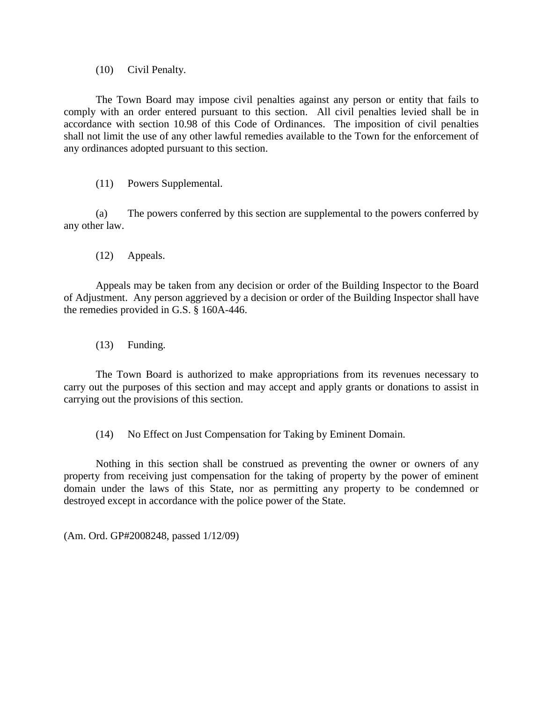(10) Civil Penalty.

The Town Board may impose civil penalties against any person or entity that fails to comply with an order entered pursuant to this section. All civil penalties levied shall be in accordance with section 10.98 of this Code of Ordinances. The imposition of civil penalties shall not limit the use of any other lawful remedies available to the Town for the enforcement of any ordinances adopted pursuant to this section.

(11) Powers Supplemental.

(a) The powers conferred by this section are supplemental to the powers conferred by any other law.

(12) Appeals.

Appeals may be taken from any decision or order of the Building Inspector to the Board of Adjustment. Any person aggrieved by a decision or order of the Building Inspector shall have the remedies provided in G.S. § 160A-446.

(13) Funding.

The Town Board is authorized to make appropriations from its revenues necessary to carry out the purposes of this section and may accept and apply grants or donations to assist in carrying out the provisions of this section.

(14) No Effect on Just Compensation for Taking by Eminent Domain.

Nothing in this section shall be construed as preventing the owner or owners of any property from receiving just compensation for the taking of property by the power of eminent domain under the laws of this State, nor as permitting any property to be condemned or destroyed except in accordance with the police power of the State.

(Am. Ord. GP#2008248, passed 1/12/09)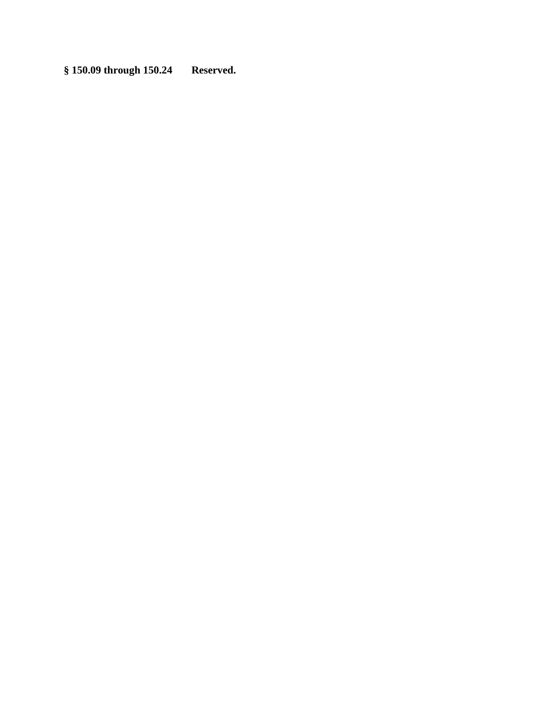**§ 150.09 through 150.24 Reserved.**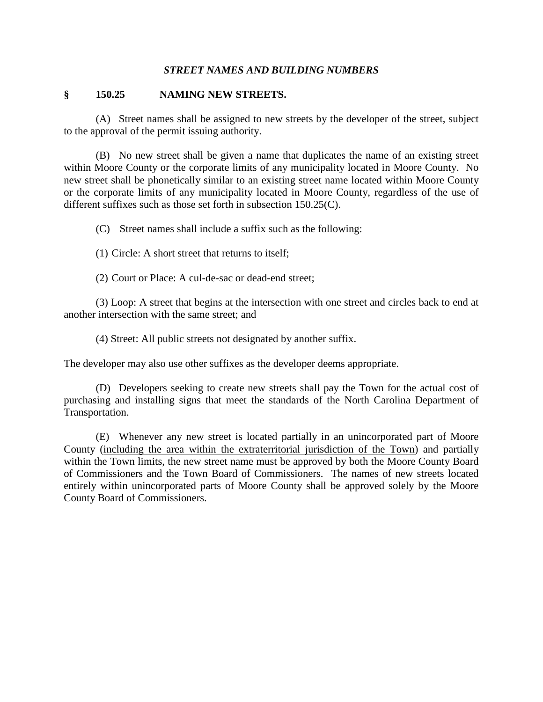#### *STREET NAMES AND BUILDING NUMBERS*

#### **§ 150.25 NAMING NEW STREETS.**

(A) Street names shall be assigned to new streets by the developer of the street, subject to the approval of the permit issuing authority.

(B) No new street shall be given a name that duplicates the name of an existing street within Moore County or the corporate limits of any municipality located in Moore County. No new street shall be phonetically similar to an existing street name located within Moore County or the corporate limits of any municipality located in Moore County, regardless of the use of different suffixes such as those set forth in subsection 150.25(C).

(C) Street names shall include a suffix such as the following:

(1) Circle: A short street that returns to itself;

(2) Court or Place: A cul-de-sac or dead-end street;

(3) Loop: A street that begins at the intersection with one street and circles back to end at another intersection with the same street; and

(4) Street: All public streets not designated by another suffix.

The developer may also use other suffixes as the developer deems appropriate.

(D) Developers seeking to create new streets shall pay the Town for the actual cost of purchasing and installing signs that meet the standards of the North Carolina Department of Transportation.

(E) Whenever any new street is located partially in an unincorporated part of Moore County (including the area within the extraterritorial jurisdiction of the Town) and partially within the Town limits, the new street name must be approved by both the Moore County Board of Commissioners and the Town Board of Commissioners. The names of new streets located entirely within unincorporated parts of Moore County shall be approved solely by the Moore County Board of Commissioners.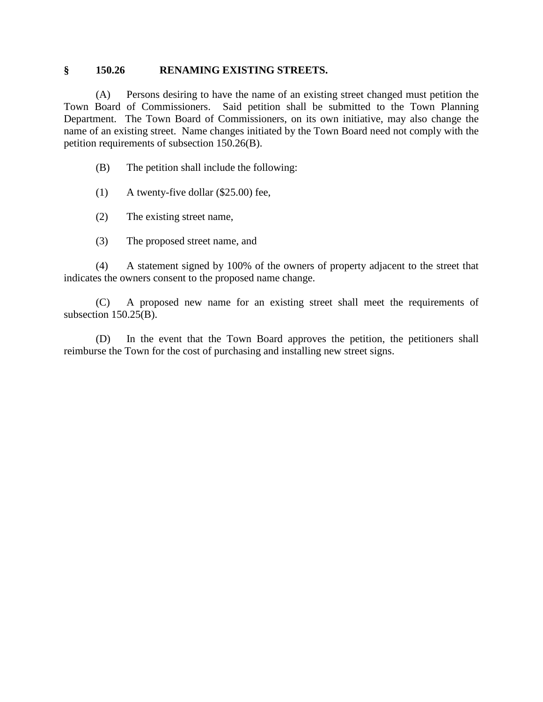#### **§ 150.26 RENAMING EXISTING STREETS.**

(A) Persons desiring to have the name of an existing street changed must petition the Town Board of Commissioners. Said petition shall be submitted to the Town Planning Department. The Town Board of Commissioners, on its own initiative, may also change the name of an existing street. Name changes initiated by the Town Board need not comply with the petition requirements of subsection 150.26(B).

- (B) The petition shall include the following:
- (1) A twenty-five dollar (\$25.00) fee,
- (2) The existing street name,
- (3) The proposed street name, and

(4) A statement signed by 100% of the owners of property adjacent to the street that indicates the owners consent to the proposed name change.

(C) A proposed new name for an existing street shall meet the requirements of subsection 150.25(B).

(D) In the event that the Town Board approves the petition, the petitioners shall reimburse the Town for the cost of purchasing and installing new street signs.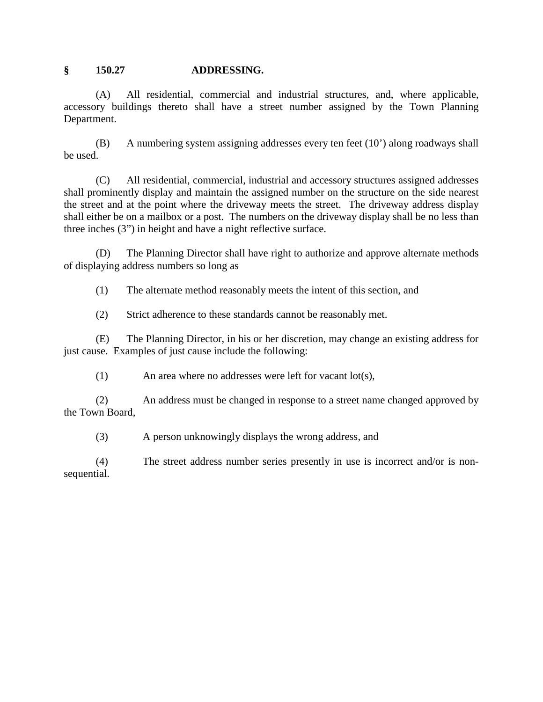#### **§ 150.27 ADDRESSING.**

(A) All residential, commercial and industrial structures, and, where applicable, accessory buildings thereto shall have a street number assigned by the Town Planning Department.

(B) A numbering system assigning addresses every ten feet (10') along roadways shall be used.

(C) All residential, commercial, industrial and accessory structures assigned addresses shall prominently display and maintain the assigned number on the structure on the side nearest the street and at the point where the driveway meets the street. The driveway address display shall either be on a mailbox or a post. The numbers on the driveway display shall be no less than three inches (3") in height and have a night reflective surface.

(D) The Planning Director shall have right to authorize and approve alternate methods of displaying address numbers so long as

(1) The alternate method reasonably meets the intent of this section, and

(2) Strict adherence to these standards cannot be reasonably met.

(E) The Planning Director, in his or her discretion, may change an existing address for just cause. Examples of just cause include the following:

(1) An area where no addresses were left for vacant lot(s),

(2) An address must be changed in response to a street name changed approved by the Town Board,

(3) A person unknowingly displays the wrong address, and

(4) The street address number series presently in use is incorrect and/or is nonsequential.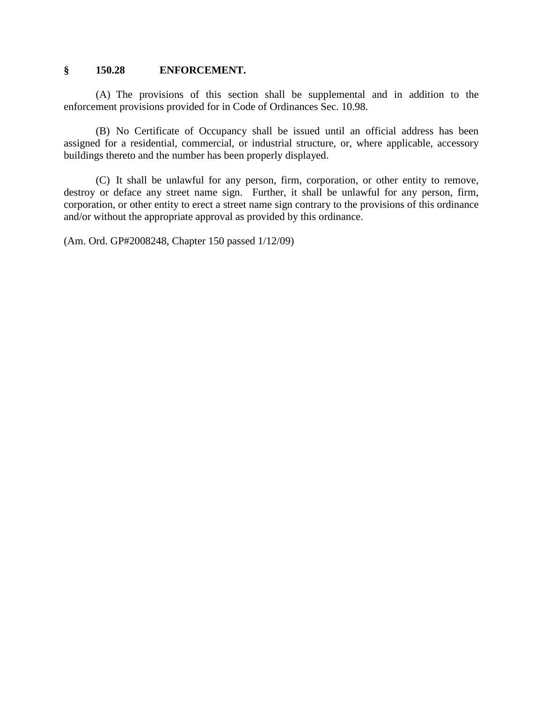#### **§ 150.28 ENFORCEMENT.**

(A) The provisions of this section shall be supplemental and in addition to the enforcement provisions provided for in Code of Ordinances Sec. 10.98.

(B) No Certificate of Occupancy shall be issued until an official address has been assigned for a residential, commercial, or industrial structure, or, where applicable, accessory buildings thereto and the number has been properly displayed.

(C) It shall be unlawful for any person, firm, corporation, or other entity to remove, destroy or deface any street name sign. Further, it shall be unlawful for any person, firm, corporation, or other entity to erect a street name sign contrary to the provisions of this ordinance and/or without the appropriate approval as provided by this ordinance.

(Am. Ord. GP#2008248, Chapter 150 passed 1/12/09)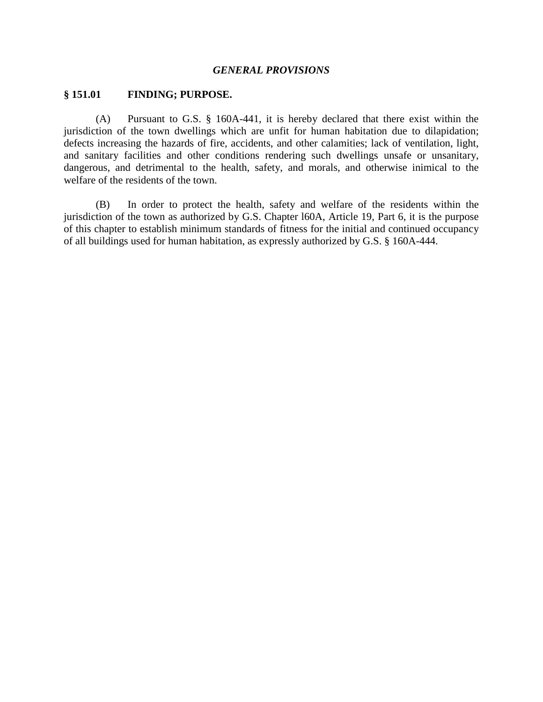#### *GENERAL PROVISIONS*

#### **§ 151.01 FINDING; PURPOSE.**

(A) Pursuant to G.S. § 160A-441, it is hereby declared that there exist within the jurisdiction of the town dwellings which are unfit for human habitation due to dilapidation; defects increasing the hazards of fire, accidents, and other calamities; lack of ventilation, light, and sanitary facilities and other conditions rendering such dwellings unsafe or unsanitary, dangerous, and detrimental to the health, safety, and morals, and otherwise inimical to the welfare of the residents of the town.

(B) In order to protect the health, safety and welfare of the residents within the jurisdiction of the town as authorized by G.S. Chapter l60A, Article 19, Part 6, it is the purpose of this chapter to establish minimum standards of fitness for the initial and continued occupancy of all buildings used for human habitation, as expressly authorized by G.S. § 160A-444.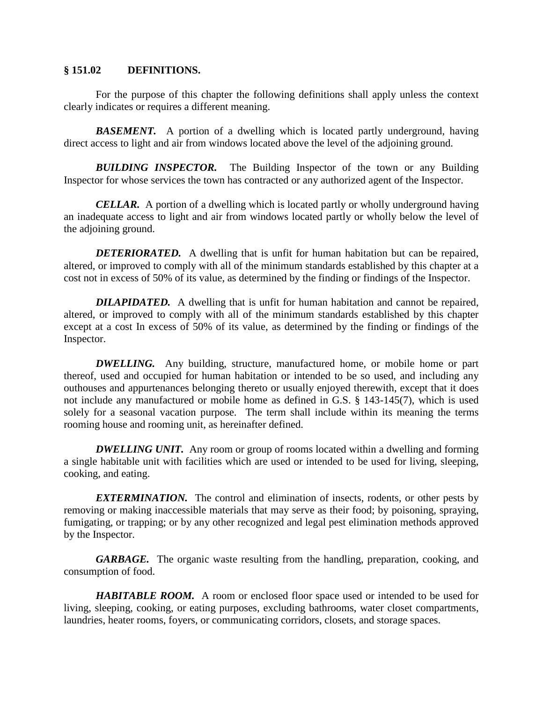#### **§ 151.02 DEFINITIONS.**

For the purpose of this chapter the following definitions shall apply unless the context clearly indicates or requires a different meaning.

**BASEMENT.** A portion of a dwelling which is located partly underground, having direct access to light and air from windows located above the level of the adjoining ground.

*BUILDING INSPECTOR.* The Building Inspector of the town or any Building Inspector for whose services the town has contracted or any authorized agent of the Inspector.

*CELLAR.* A portion of a dwelling which is located partly or wholly underground having an inadequate access to light and air from windows located partly or wholly below the level of the adjoining ground.

*DETERIORATED.* A dwelling that is unfit for human habitation but can be repaired, altered, or improved to comply with all of the minimum standards established by this chapter at a cost not in excess of 50% of its value, as determined by the finding or findings of the Inspector.

*DILAPIDATED.* A dwelling that is unfit for human habitation and cannot be repaired, altered, or improved to comply with all of the minimum standards established by this chapter except at a cost In excess of 50% of its value, as determined by the finding or findings of the Inspector.

*DWELLING.* Any building, structure, manufactured home, or mobile home or part thereof, used and occupied for human habitation or intended to be so used, and including any outhouses and appurtenances belonging thereto or usually enjoyed therewith, except that it does not include any manufactured or mobile home as defined in G.S. § 143-145(7), which is used solely for a seasonal vacation purpose. The term shall include within its meaning the terms rooming house and rooming unit, as hereinafter defined.

*DWELLING UNIT.* Any room or group of rooms located within a dwelling and forming a single habitable unit with facilities which are used or intended to be used for living, sleeping, cooking, and eating.

**EXTERMINATION.** The control and elimination of insects, rodents, or other pests by removing or making inaccessible materials that may serve as their food; by poisoning, spraying, fumigating, or trapping; or by any other recognized and legal pest elimination methods approved by the Inspector.

*GARBAGE.* The organic waste resulting from the handling, preparation, cooking, and consumption of food.

HABITABLE ROOM. A room or enclosed floor space used or intended to be used for living, sleeping, cooking, or eating purposes, excluding bathrooms, water closet compartments, laundries, heater rooms, foyers, or communicating corridors, closets, and storage spaces.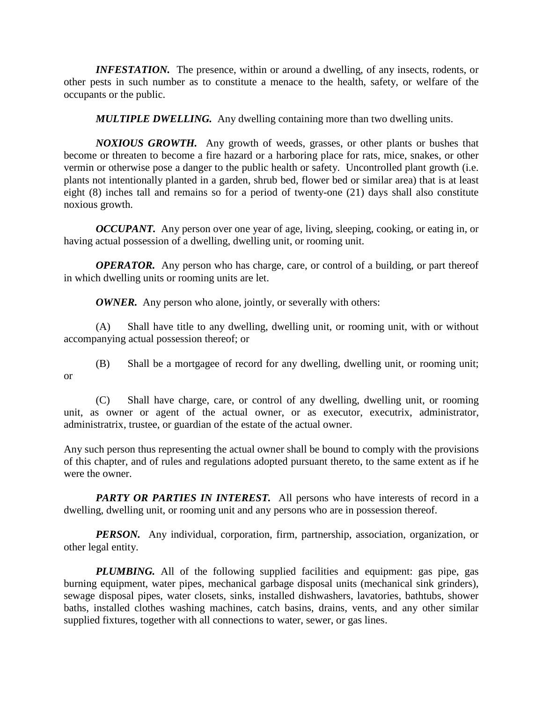*INFESTATION*. The presence, within or around a dwelling, of any insects, rodents, or other pests in such number as to constitute a menace to the health, safety, or welfare of the occupants or the public.

*MULTIPLE DWELLING.*Any dwelling containing more than two dwelling units.

*NOXIOUS GROWTH.* Any growth of weeds, grasses, or other plants or bushes that become or threaten to become a fire hazard or a harboring place for rats, mice, snakes, or other vermin or otherwise pose a danger to the public health or safety. Uncontrolled plant growth (i.e. plants not intentionally planted in a garden, shrub bed, flower bed or similar area) that is at least eight (8) inches tall and remains so for a period of twenty-one (21) days shall also constitute noxious growth.

*OCCUPANT*. Any person over one year of age, living, sleeping, cooking, or eating in, or having actual possession of a dwelling, dwelling unit, or rooming unit.

*OPERATOR.* Any person who has charge, care, or control of a building, or part thereof in which dwelling units or rooming units are let.

*OWNER.* Any person who alone, jointly, or severally with others:

(A) Shall have title to any dwelling, dwelling unit, or rooming unit, with or without accompanying actual possession thereof; or

(B) Shall be a mortgagee of record for any dwelling, dwelling unit, or rooming unit; or

(C) Shall have charge, care, or control of any dwelling, dwelling unit, or rooming unit, as owner or agent of the actual owner, or as executor, executrix, administrator, administratrix, trustee, or guardian of the estate of the actual owner.

Any such person thus representing the actual owner shall be bound to comply with the provisions of this chapter, and of rules and regulations adopted pursuant thereto, to the same extent as if he were the owner.

*PARTY OR PARTIES IN INTEREST.* All persons who have interests of record in a dwelling, dwelling unit, or rooming unit and any persons who are in possession thereof.

*PERSON.* Any individual, corporation, firm, partnership, association, organization, or other legal entity.

*PLUMBING*. All of the following supplied facilities and equipment: gas pipe, gas burning equipment, water pipes, mechanical garbage disposal units (mechanical sink grinders), sewage disposal pipes, water closets, sinks, installed dishwashers, lavatories, bathtubs, shower baths, installed clothes washing machines, catch basins, drains, vents, and any other similar supplied fixtures, together with all connections to water, sewer, or gas lines.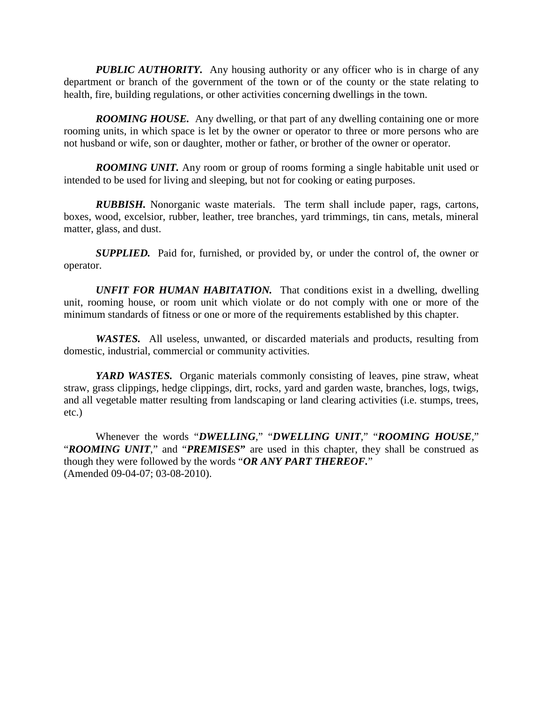*PUBLIC AUTHORITY.* Any housing authority or any officer who is in charge of any department or branch of the government of the town or of the county or the state relating to health, fire, building regulations, or other activities concerning dwellings in the town.

*ROOMING HOUSE.* Any dwelling, or that part of any dwelling containing one or more rooming units, in which space is let by the owner or operator to three or more persons who are not husband or wife, son or daughter, mother or father, or brother of the owner or operator.

**ROOMING UNIT.** Any room or group of rooms forming a single habitable unit used or intended to be used for living and sleeping, but not for cooking or eating purposes.

*RUBBISH.* Nonorganic waste materials. The term shall include paper, rags, cartons, boxes, wood, excelsior, rubber, leather, tree branches, yard trimmings, tin cans, metals, mineral matter, glass, and dust.

*SUPPLIED.* Paid for, furnished, or provided by, or under the control of, the owner or operator.

*UNFIT FOR HUMAN HABITATION.* That conditions exist in a dwelling, dwelling unit, rooming house, or room unit which violate or do not comply with one or more of the minimum standards of fitness or one or more of the requirements established by this chapter.

*WASTES.*All useless, unwanted, or discarded materials and products, resulting from domestic, industrial, commercial or community activities.

*YARD WASTES.* Organic materials commonly consisting of leaves, pine straw, wheat straw, grass clippings, hedge clippings, dirt, rocks, yard and garden waste, branches, logs, twigs, and all vegetable matter resulting from landscaping or land clearing activities (i.e. stumps, trees, etc.)

Whenever the words "*DWELLING,*" "*DWELLING UNIT,*" "*ROOMING HOUSE,*" "*ROOMING UNIT*," and "*PREMISES***"** are used in this chapter, they shall be construed as though they were followed by the words "*OR ANY PART THEREOF.*" (Amended 09-04-07; 03-08-2010).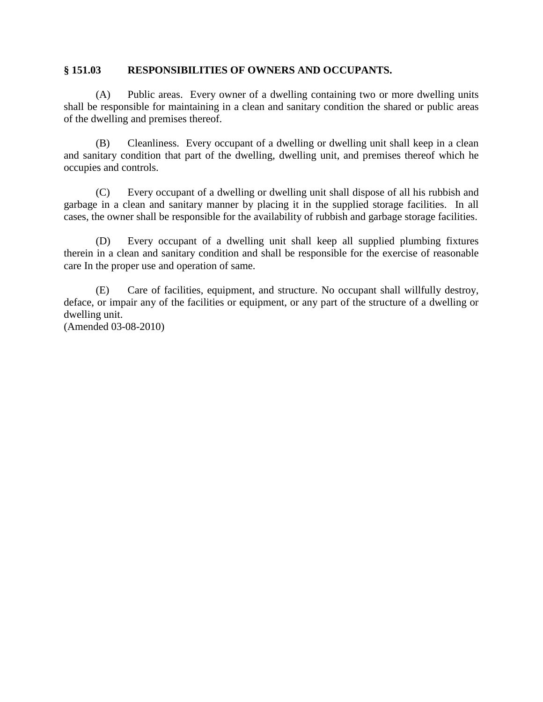#### **§ 151.03 RESPONSIBILITIES OF OWNERS AND OCCUPANTS.**

(A) Public areas. Every owner of a dwelling containing two or more dwelling units shall be responsible for maintaining in a clean and sanitary condition the shared or public areas of the dwelling and premises thereof.

(B) Cleanliness. Every occupant of a dwelling or dwelling unit shall keep in a clean and sanitary condition that part of the dwelling, dwelling unit, and premises thereof which he occupies and controls.

(C) Every occupant of a dwelling or dwelling unit shall dispose of all his rubbish and garbage in a clean and sanitary manner by placing it in the supplied storage facilities. In all cases, the owner shall be responsible for the availability of rubbish and garbage storage facilities.

(D) Every occupant of a dwelling unit shall keep all supplied plumbing fixtures therein in a clean and sanitary condition and shall be responsible for the exercise of reasonable care In the proper use and operation of same.

(E) Care of facilities, equipment, and structure. No occupant shall willfully destroy, deface, or impair any of the facilities or equipment, or any part of the structure of a dwelling or dwelling unit.

(Amended 03-08-2010)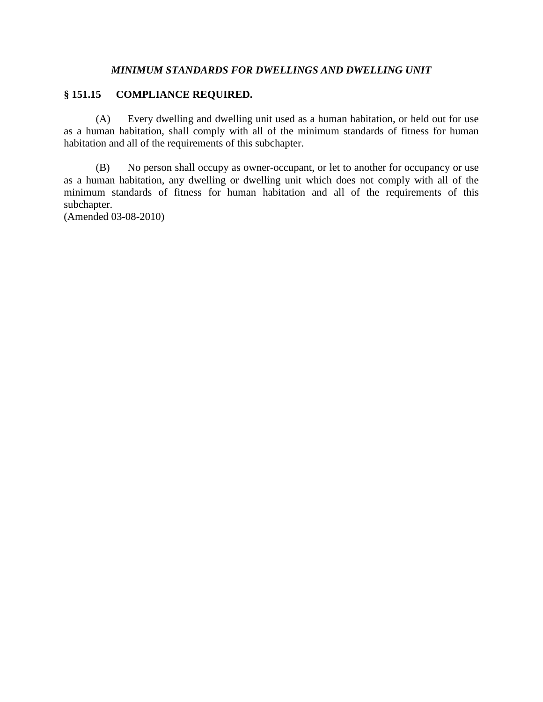#### *MINIMUM STANDARDS FOR DWELLINGS AND DWELLING UNIT*

## **§ 151.15 COMPLIANCE REQUIRED.**

(A) Every dwelling and dwelling unit used as a human habitation, or held out for use as a human habitation, shall comply with all of the minimum standards of fitness for human habitation and all of the requirements of this subchapter.

(B) No person shall occupy as owner-occupant, or let to another for occupancy or use as a human habitation, any dwelling or dwelling unit which does not comply with all of the minimum standards of fitness for human habitation and all of the requirements of this subchapter.

(Amended 03-08-2010)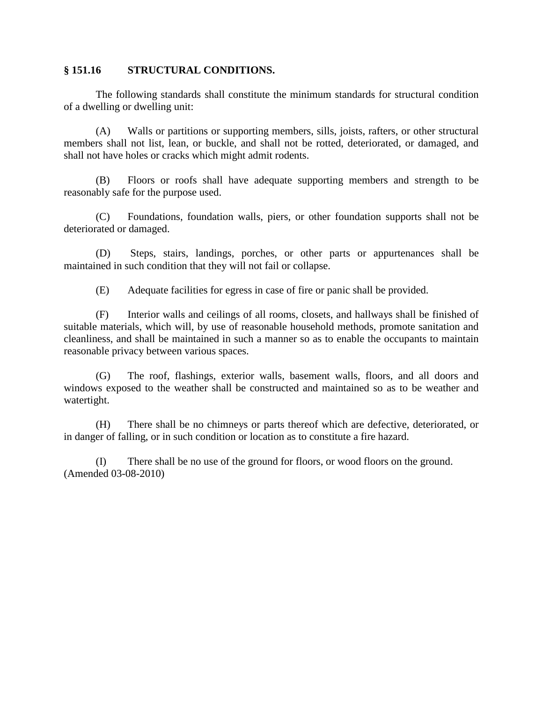#### **§ 151.16 STRUCTURAL CONDITIONS.**

The following standards shall constitute the minimum standards for structural condition of a dwelling or dwelling unit:

(A) Walls or partitions or supporting members, sills, joists, rafters, or other structural members shall not list, lean, or buckle, and shall not be rotted, deteriorated, or damaged, and shall not have holes or cracks which might admit rodents.

(B) Floors or roofs shall have adequate supporting members and strength to be reasonably safe for the purpose used.

(C) Foundations, foundation walls, piers, or other foundation supports shall not be deteriorated or damaged.

(D) Steps, stairs, landings, porches, or other parts or appurtenances shall be maintained in such condition that they will not fail or collapse.

(E) Adequate facilities for egress in case of fire or panic shall be provided.

(F) Interior walls and ceilings of all rooms, closets, and hallways shall be finished of suitable materials, which will, by use of reasonable household methods, promote sanitation and cleanliness, and shall be maintained in such a manner so as to enable the occupants to maintain reasonable privacy between various spaces.

(G) The roof, flashings, exterior walls, basement walls, floors, and all doors and windows exposed to the weather shall be constructed and maintained so as to be weather and watertight.

(H) There shall be no chimneys or parts thereof which are defective, deteriorated, or in danger of falling, or in such condition or location as to constitute a fire hazard.

(I) There shall be no use of the ground for floors, or wood floors on the ground. (Amended 03-08-2010)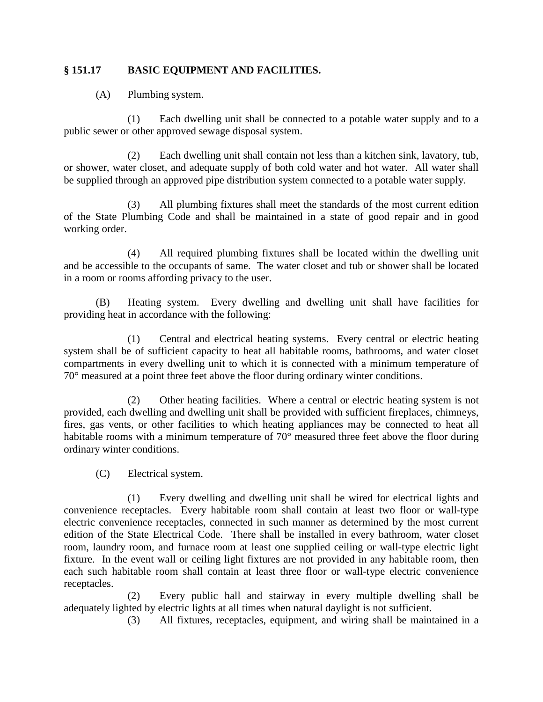## **§ 151.17 BASIC EQUIPMENT AND FACILITIES.**

(A) Plumbing system.

(1) Each dwelling unit shall be connected to a potable water supply and to a public sewer or other approved sewage disposal system.

(2) Each dwelling unit shall contain not less than a kitchen sink, lavatory, tub, or shower, water closet, and adequate supply of both cold water and hot water. All water shall be supplied through an approved pipe distribution system connected to a potable water supply.

(3) All plumbing fixtures shall meet the standards of the most current edition of the State Plumbing Code and shall be maintained in a state of good repair and in good working order.

(4) All required plumbing fixtures shall be located within the dwelling unit and be accessible to the occupants of same. The water closet and tub or shower shall be located in a room or rooms affording privacy to the user.

(B) Heating system. Every dwelling and dwelling unit shall have facilities for providing heat in accordance with the following:

(1) Central and electrical heating systems. Every central or electric heating system shall be of sufficient capacity to heat all habitable rooms, bathrooms, and water closet compartments in every dwelling unit to which it is connected with a minimum temperature of 70° measured at a point three feet above the floor during ordinary winter conditions.

(2) Other heating facilities. Where a central or electric heating system is not provided, each dwelling and dwelling unit shall be provided with sufficient fireplaces, chimneys, fires, gas vents, or other facilities to which heating appliances may be connected to heat all habitable rooms with a minimum temperature of 70° measured three feet above the floor during ordinary winter conditions.

(C) Electrical system.

(1) Every dwelling and dwelling unit shall be wired for electrical lights and convenience receptacles. Every habitable room shall contain at least two floor or wall-type electric convenience receptacles, connected in such manner as determined by the most current edition of the State Electrical Code. There shall be installed in every bathroom, water closet room, laundry room, and furnace room at least one supplied ceiling or wall-type electric light fixture. In the event wall or ceiling light fixtures are not provided in any habitable room, then each such habitable room shall contain at least three floor or wall-type electric convenience receptacles.

(2) Every public hall and stairway in every multiple dwelling shall be adequately lighted by electric lights at all times when natural daylight is not sufficient.

(3) All fixtures, receptacles, equipment, and wiring shall be maintained in a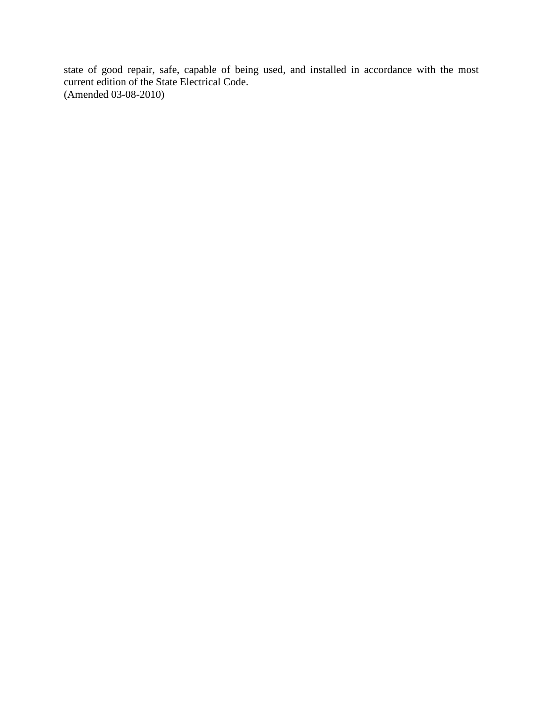state of good repair, safe, capable of being used, and installed in accordance with the most current edition of the State Electrical Code. (Amended 03-08-2010)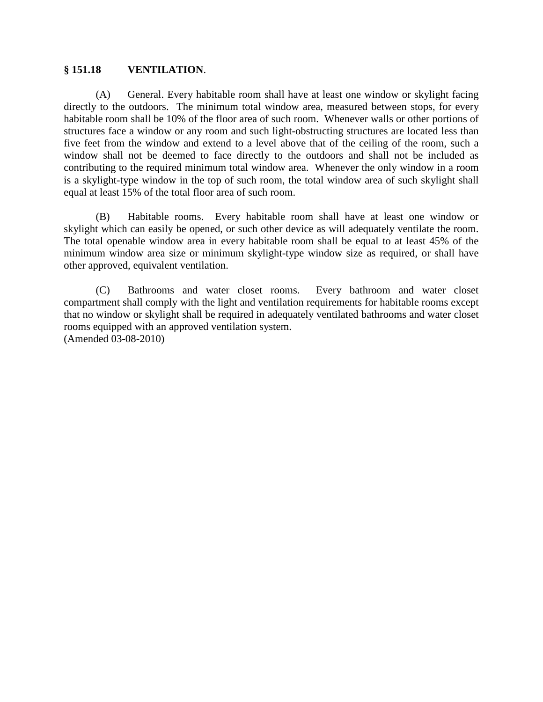#### **§ 151.18 VENTILATION**.

(A) General. Every habitable room shall have at least one window or skylight facing directly to the outdoors. The minimum total window area, measured between stops, for every habitable room shall be 10% of the floor area of such room. Whenever walls or other portions of structures face a window or any room and such light-obstructing structures are located less than five feet from the window and extend to a level above that of the ceiling of the room, such a window shall not be deemed to face directly to the outdoors and shall not be included as contributing to the required minimum total window area. Whenever the only window in a room is a skylight-type window in the top of such room, the total window area of such skylight shall equal at least 15% of the total floor area of such room.

(B) Habitable rooms. Every habitable room shall have at least one window or skylight which can easily be opened, or such other device as will adequately ventilate the room. The total openable window area in every habitable room shall be equal to at least 45% of the minimum window area size or minimum skylight-type window size as required, or shall have other approved, equivalent ventilation.

(C) Bathrooms and water closet rooms. Every bathroom and water closet compartment shall comply with the light and ventilation requirements for habitable rooms except that no window or skylight shall be required in adequately ventilated bathrooms and water closet rooms equipped with an approved ventilation system. (Amended 03-08-2010)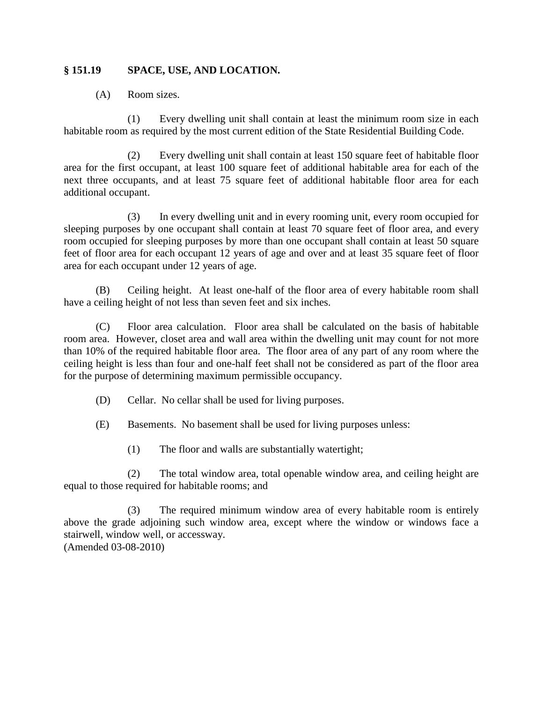### **§ 151.19 SPACE, USE, AND LOCATION.**

(A) Room sizes.

(1) Every dwelling unit shall contain at least the minimum room size in each habitable room as required by the most current edition of the State Residential Building Code.

(2) Every dwelling unit shall contain at least 150 square feet of habitable floor area for the first occupant, at least 100 square feet of additional habitable area for each of the next three occupants, and at least 75 square feet of additional habitable floor area for each additional occupant.

(3) In every dwelling unit and in every rooming unit, every room occupied for sleeping purposes by one occupant shall contain at least 70 square feet of floor area, and every room occupied for sleeping purposes by more than one occupant shall contain at least 50 square feet of floor area for each occupant 12 years of age and over and at least 35 square feet of floor area for each occupant under 12 years of age.

(B) Ceiling height. At least one-half of the floor area of every habitable room shall have a ceiling height of not less than seven feet and six inches.

(C) Floor area calculation. Floor area shall be calculated on the basis of habitable room area. However, closet area and wall area within the dwelling unit may count for not more than 10% of the required habitable floor area. The floor area of any part of any room where the ceiling height is less than four and one-half feet shall not be considered as part of the floor area for the purpose of determining maximum permissible occupancy.

(D) Cellar. No cellar shall be used for living purposes.

(E) Basements. No basement shall be used for living purposes unless:

(1) The floor and walls are substantially watertight;

(2) The total window area, total openable window area, and ceiling height are equal to those required for habitable rooms; and

(3) The required minimum window area of every habitable room is entirely above the grade adjoining such window area, except where the window or windows face a stairwell, window well, or accessway. (Amended 03-08-2010)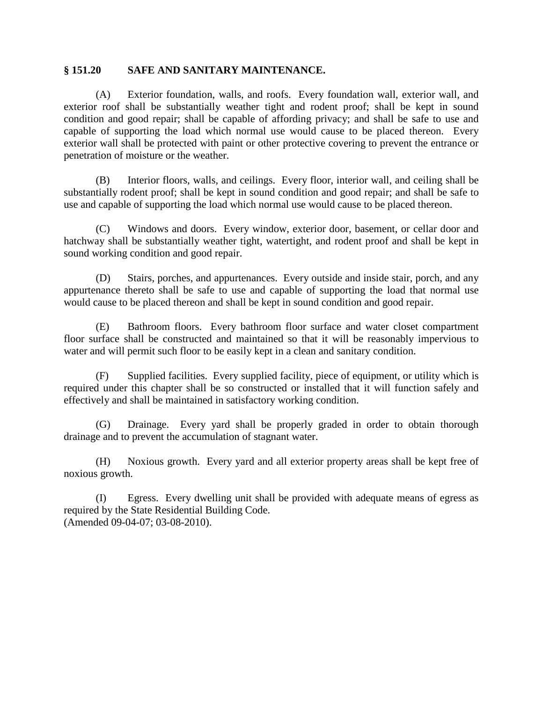#### **§ 151.20 SAFE AND SANITARY MAINTENANCE.**

(A) Exterior foundation, walls, and roofs. Every foundation wall, exterior wall, and exterior roof shall be substantially weather tight and rodent proof; shall be kept in sound condition and good repair; shall be capable of affording privacy; and shall be safe to use and capable of supporting the load which normal use would cause to be placed thereon. Every exterior wall shall be protected with paint or other protective covering to prevent the entrance or penetration of moisture or the weather.

(B) Interior floors, walls, and ceilings. Every floor, interior wall, and ceiling shall be substantially rodent proof; shall be kept in sound condition and good repair; and shall be safe to use and capable of supporting the load which normal use would cause to be placed thereon.

(C) Windows and doors. Every window, exterior door, basement, or cellar door and hatchway shall be substantially weather tight, watertight, and rodent proof and shall be kept in sound working condition and good repair.

(D) Stairs, porches, and appurtenances. Every outside and inside stair, porch, and any appurtenance thereto shall be safe to use and capable of supporting the load that normal use would cause to be placed thereon and shall be kept in sound condition and good repair.

(E) Bathroom floors. Every bathroom floor surface and water closet compartment floor surface shall be constructed and maintained so that it will be reasonably impervious to water and will permit such floor to be easily kept in a clean and sanitary condition.

(F) Supplied facilities. Every supplied facility, piece of equipment, or utility which is required under this chapter shall be so constructed or installed that it will function safely and effectively and shall be maintained in satisfactory working condition.

(G) Drainage. Every yard shall be properly graded in order to obtain thorough drainage and to prevent the accumulation of stagnant water.

(H) Noxious growth. Every yard and all exterior property areas shall be kept free of noxious growth.

(I) Egress. Every dwelling unit shall be provided with adequate means of egress as required by the State Residential Building Code. (Amended 09-04-07; 03-08-2010).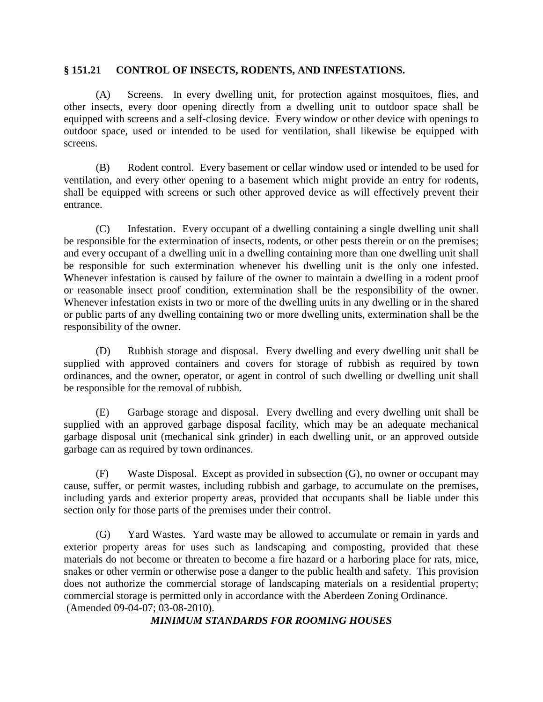#### **§ 151.21 CONTROL OF INSECTS, RODENTS, AND INFESTATIONS.**

(A) Screens. In every dwelling unit, for protection against mosquitoes, flies, and other insects, every door opening directly from a dwelling unit to outdoor space shall be equipped with screens and a self-closing device. Every window or other device with openings to outdoor space, used or intended to be used for ventilation, shall likewise be equipped with screens.

(B) Rodent control. Every basement or cellar window used or intended to be used for ventilation, and every other opening to a basement which might provide an entry for rodents, shall be equipped with screens or such other approved device as will effectively prevent their entrance.

(C) Infestation. Every occupant of a dwelling containing a single dwelling unit shall be responsible for the extermination of insects, rodents, or other pests therein or on the premises; and every occupant of a dwelling unit in a dwelling containing more than one dwelling unit shall be responsible for such extermination whenever his dwelling unit is the only one infested. Whenever infestation is caused by failure of the owner to maintain a dwelling in a rodent proof or reasonable insect proof condition, extermination shall be the responsibility of the owner. Whenever infestation exists in two or more of the dwelling units in any dwelling or in the shared or public parts of any dwelling containing two or more dwelling units, extermination shall be the responsibility of the owner.

(D) Rubbish storage and disposal. Every dwelling and every dwelling unit shall be supplied with approved containers and covers for storage of rubbish as required by town ordinances, and the owner, operator, or agent in control of such dwelling or dwelling unit shall be responsible for the removal of rubbish.

(E) Garbage storage and disposal. Every dwelling and every dwelling unit shall be supplied with an approved garbage disposal facility, which may be an adequate mechanical garbage disposal unit (mechanical sink grinder) in each dwelling unit, or an approved outside garbage can as required by town ordinances.

(F) Waste Disposal. Except as provided in subsection (G), no owner or occupant may cause, suffer, or permit wastes, including rubbish and garbage, to accumulate on the premises, including yards and exterior property areas, provided that occupants shall be liable under this section only for those parts of the premises under their control.

(G) Yard Wastes. Yard waste may be allowed to accumulate or remain in yards and exterior property areas for uses such as landscaping and composting, provided that these materials do not become or threaten to become a fire hazard or a harboring place for rats, mice, snakes or other vermin or otherwise pose a danger to the public health and safety. This provision does not authorize the commercial storage of landscaping materials on a residential property; commercial storage is permitted only in accordance with the Aberdeen Zoning Ordinance. (Amended 09-04-07; 03-08-2010).

#### *MINIMUM STANDARDS FOR ROOMING HOUSES*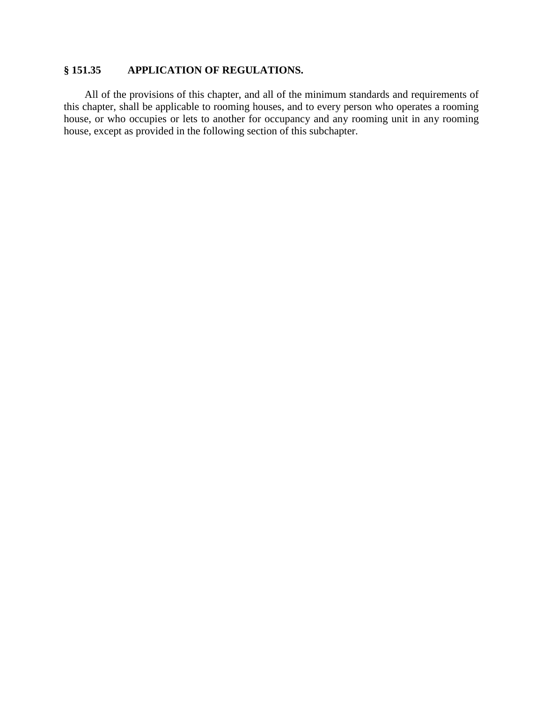## **§ 151.35 APPLICATION OF REGULATIONS.**

All of the provisions of this chapter, and all of the minimum standards and requirements of this chapter, shall be applicable to rooming houses, and to every person who operates a rooming house, or who occupies or lets to another for occupancy and any rooming unit in any rooming house, except as provided in the following section of this subchapter.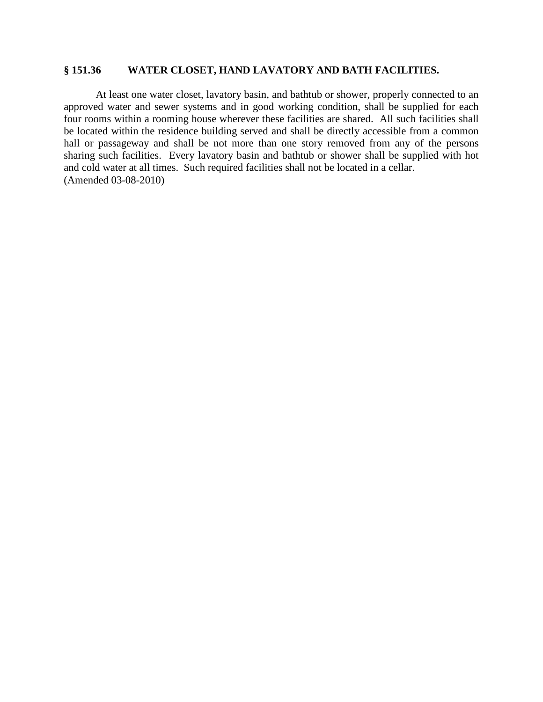#### **§ 151.36 WATER CLOSET, HAND LAVATORY AND BATH FACILITIES.**

At least one water closet, lavatory basin, and bathtub or shower, properly connected to an approved water and sewer systems and in good working condition, shall be supplied for each four rooms within a rooming house wherever these facilities are shared. All such facilities shall be located within the residence building served and shall be directly accessible from a common hall or passageway and shall be not more than one story removed from any of the persons sharing such facilities. Every lavatory basin and bathtub or shower shall be supplied with hot and cold water at all times. Such required facilities shall not be located in a cellar. (Amended 03-08-2010)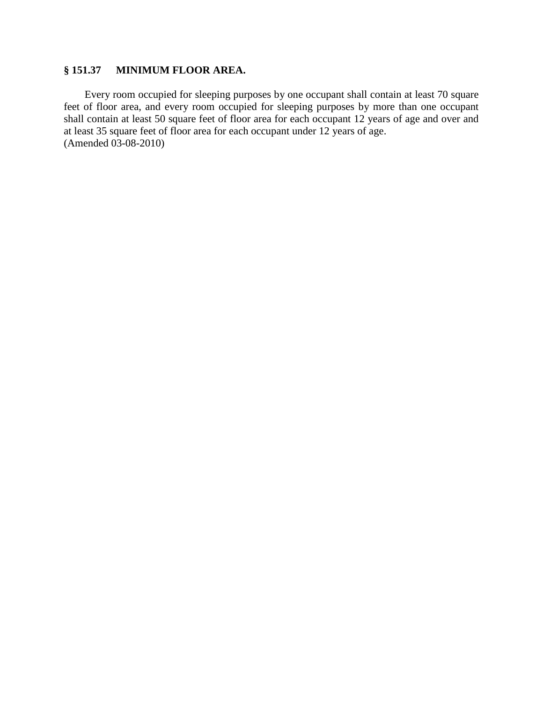#### **§ 151.37 MINIMUM FLOOR AREA.**

Every room occupied for sleeping purposes by one occupant shall contain at least 70 square feet of floor area, and every room occupied for sleeping purposes by more than one occupant shall contain at least 50 square feet of floor area for each occupant 12 years of age and over and at least 35 square feet of floor area for each occupant under 12 years of age. (Amended 03-08-2010)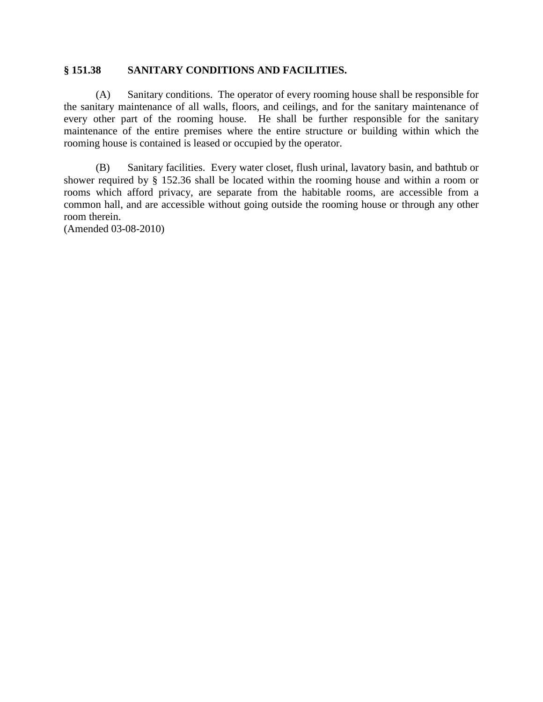#### **§ 151.38 SANITARY CONDITIONS AND FACILITIES.**

(A) Sanitary conditions. The operator of every rooming house shall be responsible for the sanitary maintenance of all walls, floors, and ceilings, and for the sanitary maintenance of every other part of the rooming house. He shall be further responsible for the sanitary maintenance of the entire premises where the entire structure or building within which the rooming house is contained is leased or occupied by the operator.

(B) Sanitary facilities. Every water closet, flush urinal, lavatory basin, and bathtub or shower required by § 152.36 shall be located within the rooming house and within a room or rooms which afford privacy, are separate from the habitable rooms, are accessible from a common hall, and are accessible without going outside the rooming house or through any other room therein.

(Amended 03-08-2010)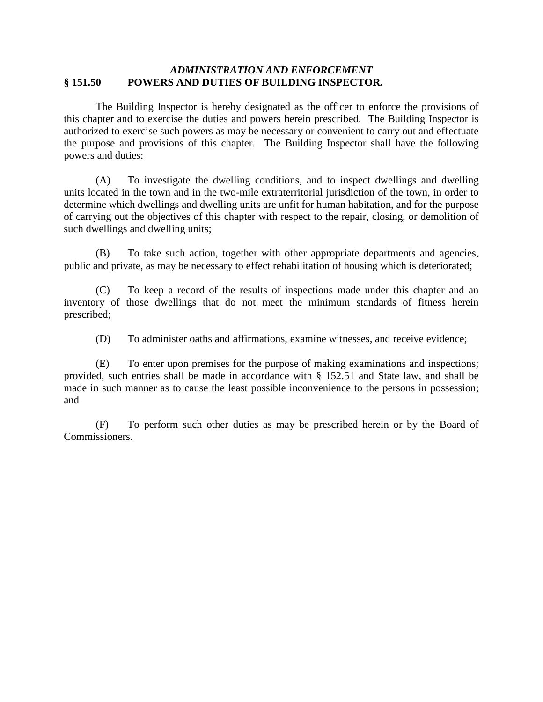#### *ADMINISTRATION AND ENFORCEMENT* **§ 151.50 POWERS AND DUTIES OF BUILDING INSPECTOR.**

The Building Inspector is hereby designated as the officer to enforce the provisions of this chapter and to exercise the duties and powers herein prescribed. The Building Inspector is authorized to exercise such powers as may be necessary or convenient to carry out and effectuate the purpose and provisions of this chapter. The Building Inspector shall have the following powers and duties:

(A) To investigate the dwelling conditions, and to inspect dwellings and dwelling units located in the town and in the two-mile extraterritorial jurisdiction of the town, in order to determine which dwellings and dwelling units are unfit for human habitation, and for the purpose of carrying out the objectives of this chapter with respect to the repair, closing, or demolition of such dwellings and dwelling units;

(B) To take such action, together with other appropriate departments and agencies, public and private, as may be necessary to effect rehabilitation of housing which is deteriorated;

(C) To keep a record of the results of inspections made under this chapter and an inventory of those dwellings that do not meet the minimum standards of fitness herein prescribed;

(D) To administer oaths and affirmations, examine witnesses, and receive evidence;

(E) To enter upon premises for the purpose of making examinations and inspections; provided, such entries shall be made in accordance with § 152.51 and State law, and shall be made in such manner as to cause the least possible inconvenience to the persons in possession; and

(F) To perform such other duties as may be prescribed herein or by the Board of **Commissioners**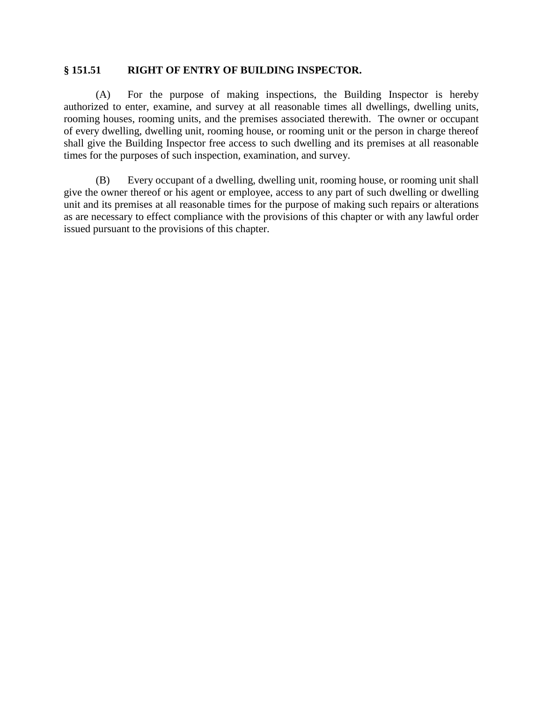#### **§ 151.51 RIGHT OF ENTRY OF BUILDING INSPECTOR.**

(A) For the purpose of making inspections, the Building Inspector is hereby authorized to enter, examine, and survey at all reasonable times all dwellings, dwelling units, rooming houses, rooming units, and the premises associated therewith. The owner or occupant of every dwelling, dwelling unit, rooming house, or rooming unit or the person in charge thereof shall give the Building Inspector free access to such dwelling and its premises at all reasonable times for the purposes of such inspection, examination, and survey.

(B) Every occupant of a dwelling, dwelling unit, rooming house, or rooming unit shall give the owner thereof or his agent or employee, access to any part of such dwelling or dwelling unit and its premises at all reasonable times for the purpose of making such repairs or alterations as are necessary to effect compliance with the provisions of this chapter or with any lawful order issued pursuant to the provisions of this chapter.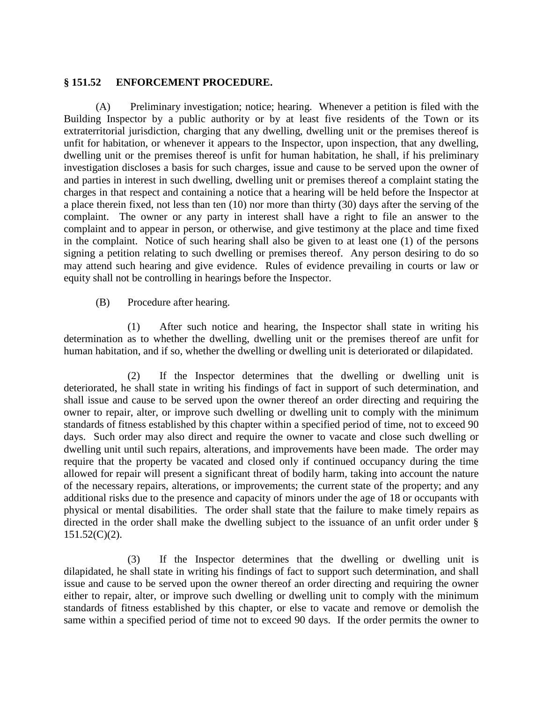#### **§ 151.52 ENFORCEMENT PROCEDURE.**

(A) Preliminary investigation; notice; hearing. Whenever a petition is filed with the Building Inspector by a public authority or by at least five residents of the Town or its extraterritorial jurisdiction, charging that any dwelling, dwelling unit or the premises thereof is unfit for habitation, or whenever it appears to the Inspector, upon inspection, that any dwelling, dwelling unit or the premises thereof is unfit for human habitation, he shall, if his preliminary investigation discloses a basis for such charges, issue and cause to be served upon the owner of and parties in interest in such dwelling, dwelling unit or premises thereof a complaint stating the charges in that respect and containing a notice that a hearing will be held before the Inspector at a place therein fixed, not less than ten (10) nor more than thirty (30) days after the serving of the complaint. The owner or any party in interest shall have a right to file an answer to the complaint and to appear in person, or otherwise, and give testimony at the place and time fixed in the complaint. Notice of such hearing shall also be given to at least one (1) of the persons signing a petition relating to such dwelling or premises thereof. Any person desiring to do so may attend such hearing and give evidence. Rules of evidence prevailing in courts or law or equity shall not be controlling in hearings before the Inspector.

#### (B) Procedure after hearing.

(1) After such notice and hearing, the Inspector shall state in writing his determination as to whether the dwelling, dwelling unit or the premises thereof are unfit for human habitation, and if so, whether the dwelling or dwelling unit is deteriorated or dilapidated.

(2) If the Inspector determines that the dwelling or dwelling unit is deteriorated, he shall state in writing his findings of fact in support of such determination, and shall issue and cause to be served upon the owner thereof an order directing and requiring the owner to repair, alter, or improve such dwelling or dwelling unit to comply with the minimum standards of fitness established by this chapter within a specified period of time, not to exceed 90 days. Such order may also direct and require the owner to vacate and close such dwelling or dwelling unit until such repairs, alterations, and improvements have been made. The order may require that the property be vacated and closed only if continued occupancy during the time allowed for repair will present a significant threat of bodily harm, taking into account the nature of the necessary repairs, alterations, or improvements; the current state of the property; and any additional risks due to the presence and capacity of minors under the age of 18 or occupants with physical or mental disabilities. The order shall state that the failure to make timely repairs as directed in the order shall make the dwelling subject to the issuance of an unfit order under § 151.52(C)(2).

(3) If the Inspector determines that the dwelling or dwelling unit is dilapidated, he shall state in writing his findings of fact to support such determination, and shall issue and cause to be served upon the owner thereof an order directing and requiring the owner either to repair, alter, or improve such dwelling or dwelling unit to comply with the minimum standards of fitness established by this chapter, or else to vacate and remove or demolish the same within a specified period of time not to exceed 90 days. If the order permits the owner to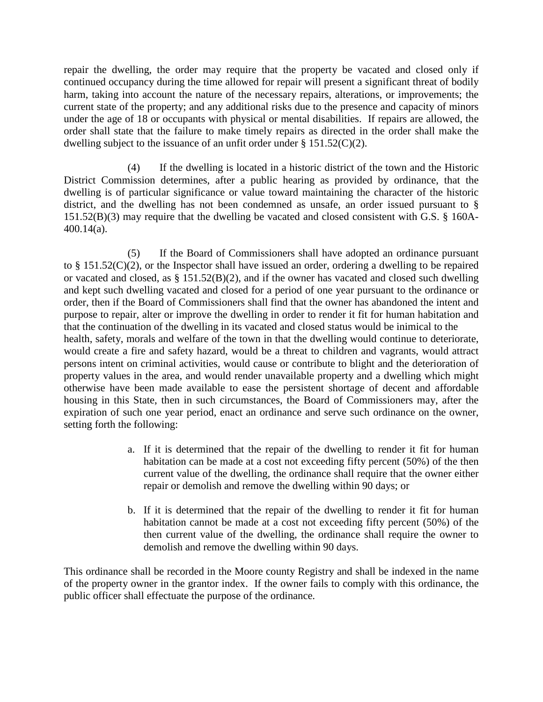repair the dwelling, the order may require that the property be vacated and closed only if continued occupancy during the time allowed for repair will present a significant threat of bodily harm, taking into account the nature of the necessary repairs, alterations, or improvements; the current state of the property; and any additional risks due to the presence and capacity of minors under the age of 18 or occupants with physical or mental disabilities. If repairs are allowed, the order shall state that the failure to make timely repairs as directed in the order shall make the dwelling subject to the issuance of an unfit order under  $\S 151.52(C)(2)$ .

(4) If the dwelling is located in a historic district of the town and the Historic District Commission determines, after a public hearing as provided by ordinance, that the dwelling is of particular significance or value toward maintaining the character of the historic district, and the dwelling has not been condemned as unsafe, an order issued pursuant to § 151.52(B)(3) may require that the dwelling be vacated and closed consistent with G.S. § 160A-400.14(a).

(5) If the Board of Commissioners shall have adopted an ordinance pursuant to § 151.52(C)(2), or the Inspector shall have issued an order, ordering a dwelling to be repaired or vacated and closed, as § 151.52(B)(2), and if the owner has vacated and closed such dwelling and kept such dwelling vacated and closed for a period of one year pursuant to the ordinance or order, then if the Board of Commissioners shall find that the owner has abandoned the intent and purpose to repair, alter or improve the dwelling in order to render it fit for human habitation and that the continuation of the dwelling in its vacated and closed status would be inimical to the health, safety, morals and welfare of the town in that the dwelling would continue to deteriorate, would create a fire and safety hazard, would be a threat to children and vagrants, would attract persons intent on criminal activities, would cause or contribute to blight and the deterioration of property values in the area, and would render unavailable property and a dwelling which might otherwise have been made available to ease the persistent shortage of decent and affordable housing in this State, then in such circumstances, the Board of Commissioners may, after the expiration of such one year period, enact an ordinance and serve such ordinance on the owner, setting forth the following:

- a. If it is determined that the repair of the dwelling to render it fit for human habitation can be made at a cost not exceeding fifty percent (50%) of the then current value of the dwelling, the ordinance shall require that the owner either repair or demolish and remove the dwelling within 90 days; or
- b. If it is determined that the repair of the dwelling to render it fit for human habitation cannot be made at a cost not exceeding fifty percent (50%) of the then current value of the dwelling, the ordinance shall require the owner to demolish and remove the dwelling within 90 days.

This ordinance shall be recorded in the Moore county Registry and shall be indexed in the name of the property owner in the grantor index. If the owner fails to comply with this ordinance, the public officer shall effectuate the purpose of the ordinance.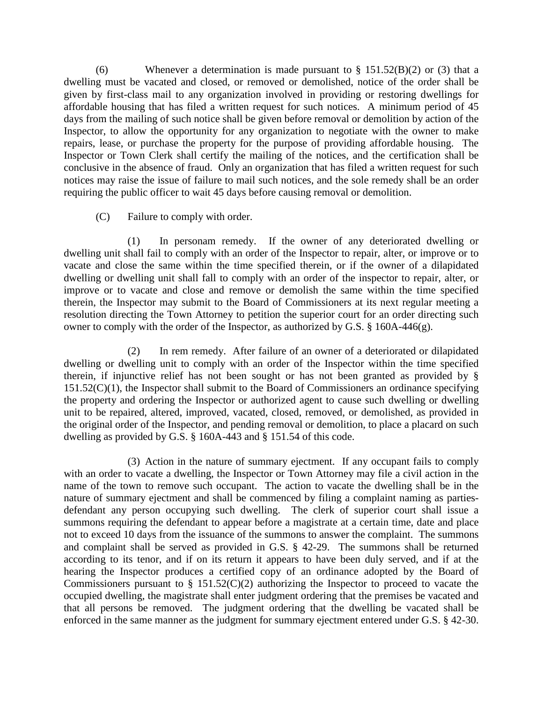(6) Whenever a determination is made pursuant to  $\S$  151.52(B)(2) or (3) that a dwelling must be vacated and closed, or removed or demolished, notice of the order shall be given by first-class mail to any organization involved in providing or restoring dwellings for affordable housing that has filed a written request for such notices. A minimum period of 45 days from the mailing of such notice shall be given before removal or demolition by action of the Inspector, to allow the opportunity for any organization to negotiate with the owner to make repairs, lease, or purchase the property for the purpose of providing affordable housing. The Inspector or Town Clerk shall certify the mailing of the notices, and the certification shall be conclusive in the absence of fraud. Only an organization that has filed a written request for such notices may raise the issue of failure to mail such notices, and the sole remedy shall be an order requiring the public officer to wait 45 days before causing removal or demolition.

(C) Failure to comply with order.

(1) In personam remedy. If the owner of any deteriorated dwelling or dwelling unit shall fail to comply with an order of the Inspector to repair, alter, or improve or to vacate and close the same within the time specified therein, or if the owner of a dilapidated dwelling or dwelling unit shall fall to comply with an order of the inspector to repair, alter, or improve or to vacate and close and remove or demolish the same within the time specified therein, the Inspector may submit to the Board of Commissioners at its next regular meeting a resolution directing the Town Attorney to petition the superior court for an order directing such owner to comply with the order of the Inspector, as authorized by G.S. § 160A-446(g).

(2) In rem remedy. After failure of an owner of a deteriorated or dilapidated dwelling or dwelling unit to comply with an order of the Inspector within the time specified therein, if injunctive relief has not been sought or has not been granted as provided by § 151.52(C)(1), the Inspector shall submit to the Board of Commissioners an ordinance specifying the property and ordering the Inspector or authorized agent to cause such dwelling or dwelling unit to be repaired, altered, improved, vacated, closed, removed, or demolished, as provided in the original order of the Inspector, and pending removal or demolition, to place a placard on such dwelling as provided by G.S. § 160A-443 and § 151.54 of this code.

(3) Action in the nature of summary ejectment. If any occupant fails to comply with an order to vacate a dwelling, the Inspector or Town Attorney may file a civil action in the name of the town to remove such occupant. The action to vacate the dwelling shall be in the nature of summary ejectment and shall be commenced by filing a complaint naming as partiesdefendant any person occupying such dwelling. The clerk of superior court shall issue a summons requiring the defendant to appear before a magistrate at a certain time, date and place not to exceed 10 days from the issuance of the summons to answer the complaint. The summons and complaint shall be served as provided in G.S. § 42-29. The summons shall be returned according to its tenor, and if on its return it appears to have been duly served, and if at the hearing the Inspector produces a certified copy of an ordinance adopted by the Board of Commissioners pursuant to  $\S$  151.52(C)(2) authorizing the Inspector to proceed to vacate the occupied dwelling, the magistrate shall enter judgment ordering that the premises be vacated and that all persons be removed. The judgment ordering that the dwelling be vacated shall be enforced in the same manner as the judgment for summary ejectment entered under G.S. § 42-30.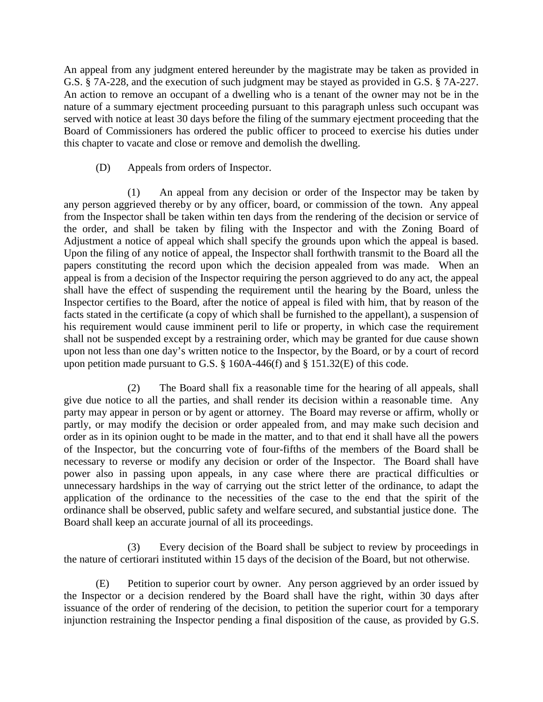An appeal from any judgment entered hereunder by the magistrate may be taken as provided in G.S. § 7A-228, and the execution of such judgment may be stayed as provided in G.S. § 7A-227. An action to remove an occupant of a dwelling who is a tenant of the owner may not be in the nature of a summary ejectment proceeding pursuant to this paragraph unless such occupant was served with notice at least 30 days before the filing of the summary ejectment proceeding that the Board of Commissioners has ordered the public officer to proceed to exercise his duties under this chapter to vacate and close or remove and demolish the dwelling.

### (D) Appeals from orders of Inspector.

(1) An appeal from any decision or order of the Inspector may be taken by any person aggrieved thereby or by any officer, board, or commission of the town. Any appeal from the Inspector shall be taken within ten days from the rendering of the decision or service of the order, and shall be taken by filing with the Inspector and with the Zoning Board of Adjustment a notice of appeal which shall specify the grounds upon which the appeal is based. Upon the filing of any notice of appeal, the Inspector shall forthwith transmit to the Board all the papers constituting the record upon which the decision appealed from was made. When an appeal is from a decision of the Inspector requiring the person aggrieved to do any act, the appeal shall have the effect of suspending the requirement until the hearing by the Board, unless the Inspector certifies to the Board, after the notice of appeal is filed with him, that by reason of the facts stated in the certificate (a copy of which shall be furnished to the appellant), a suspension of his requirement would cause imminent peril to life or property, in which case the requirement shall not be suspended except by a restraining order, which may be granted for due cause shown upon not less than one day's written notice to the Inspector, by the Board, or by a court of record upon petition made pursuant to G.S.  $\S$  160A-446(f) and  $\S$  151.32(E) of this code.

(2) The Board shall fix a reasonable time for the hearing of all appeals, shall give due notice to all the parties, and shall render its decision within a reasonable time. Any party may appear in person or by agent or attorney. The Board may reverse or affirm, wholly or partly, or may modify the decision or order appealed from, and may make such decision and order as in its opinion ought to be made in the matter, and to that end it shall have all the powers of the Inspector, but the concurring vote of four-fifths of the members of the Board shall be necessary to reverse or modify any decision or order of the Inspector. The Board shall have power also in passing upon appeals, in any case where there are practical difficulties or unnecessary hardships in the way of carrying out the strict letter of the ordinance, to adapt the application of the ordinance to the necessities of the case to the end that the spirit of the ordinance shall be observed, public safety and welfare secured, and substantial justice done. The Board shall keep an accurate journal of all its proceedings.

(3) Every decision of the Board shall be subject to review by proceedings in the nature of certiorari instituted within 15 days of the decision of the Board, but not otherwise.

(E) Petition to superior court by owner. Any person aggrieved by an order issued by the Inspector or a decision rendered by the Board shall have the right, within 30 days after issuance of the order of rendering of the decision, to petition the superior court for a temporary injunction restraining the Inspector pending a final disposition of the cause, as provided by G.S.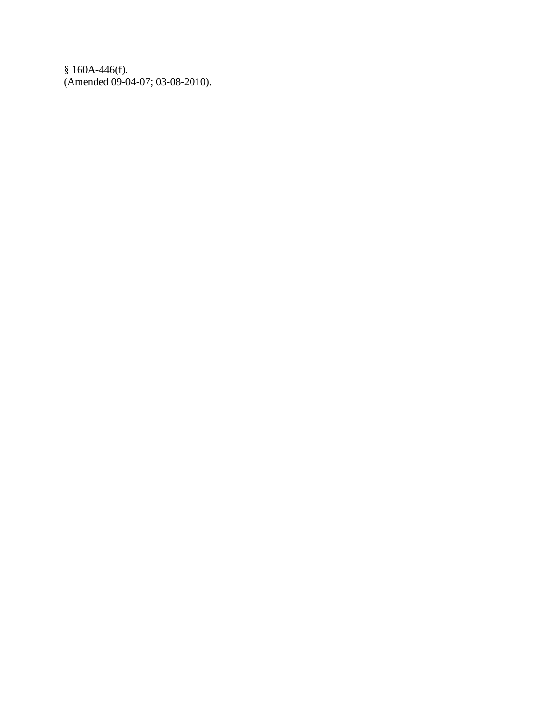§ 160A-446(f). (Amended 09-04-07; 03-08-2010).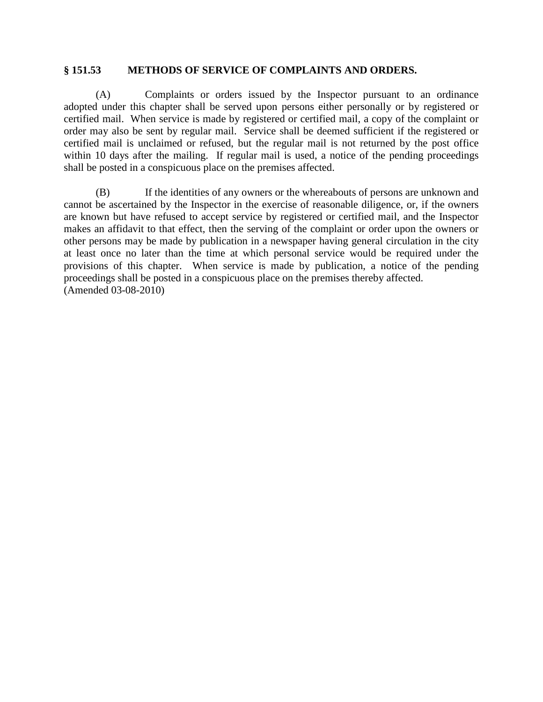#### **§ 151.53 METHODS OF SERVICE OF COMPLAINTS AND ORDERS.**

(A) Complaints or orders issued by the Inspector pursuant to an ordinance adopted under this chapter shall be served upon persons either personally or by registered or certified mail. When service is made by registered or certified mail, a copy of the complaint or order may also be sent by regular mail. Service shall be deemed sufficient if the registered or certified mail is unclaimed or refused, but the regular mail is not returned by the post office within 10 days after the mailing. If regular mail is used, a notice of the pending proceedings shall be posted in a conspicuous place on the premises affected.

(B) If the identities of any owners or the whereabouts of persons are unknown and cannot be ascertained by the Inspector in the exercise of reasonable diligence, or, if the owners are known but have refused to accept service by registered or certified mail, and the Inspector makes an affidavit to that effect, then the serving of the complaint or order upon the owners or other persons may be made by publication in a newspaper having general circulation in the city at least once no later than the time at which personal service would be required under the provisions of this chapter. When service is made by publication, a notice of the pending proceedings shall be posted in a conspicuous place on the premises thereby affected. (Amended 03-08-2010)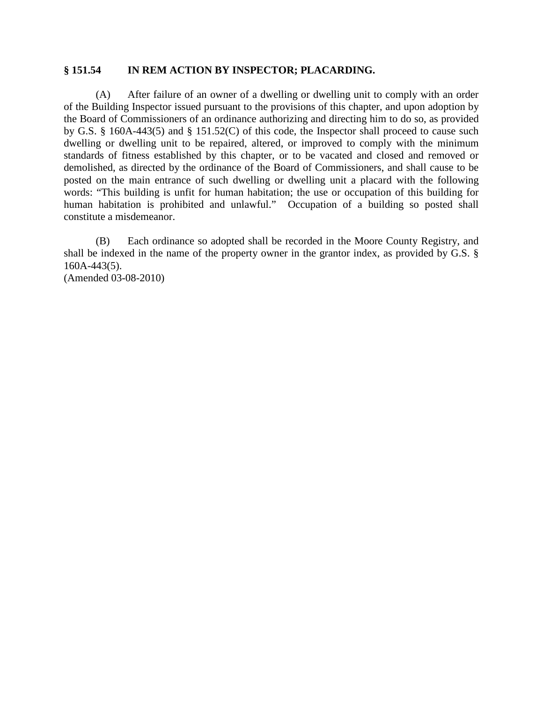#### **§ 151.54 IN REM ACTION BY INSPECTOR; PLACARDING.**

(A) After failure of an owner of a dwelling or dwelling unit to comply with an order of the Building Inspector issued pursuant to the provisions of this chapter, and upon adoption by the Board of Commissioners of an ordinance authorizing and directing him to do so, as provided by G.S. § 160A-443(5) and § 151.52(C) of this code, the Inspector shall proceed to cause such dwelling or dwelling unit to be repaired, altered, or improved to comply with the minimum standards of fitness established by this chapter, or to be vacated and closed and removed or demolished, as directed by the ordinance of the Board of Commissioners, and shall cause to be posted on the main entrance of such dwelling or dwelling unit a placard with the following words: "This building is unfit for human habitation; the use or occupation of this building for human habitation is prohibited and unlawful." Occupation of a building so posted shall constitute a misdemeanor.

(B) Each ordinance so adopted shall be recorded in the Moore County Registry, and shall be indexed in the name of the property owner in the grantor index, as provided by G.S. § 160A-443(5).

(Amended 03-08-2010)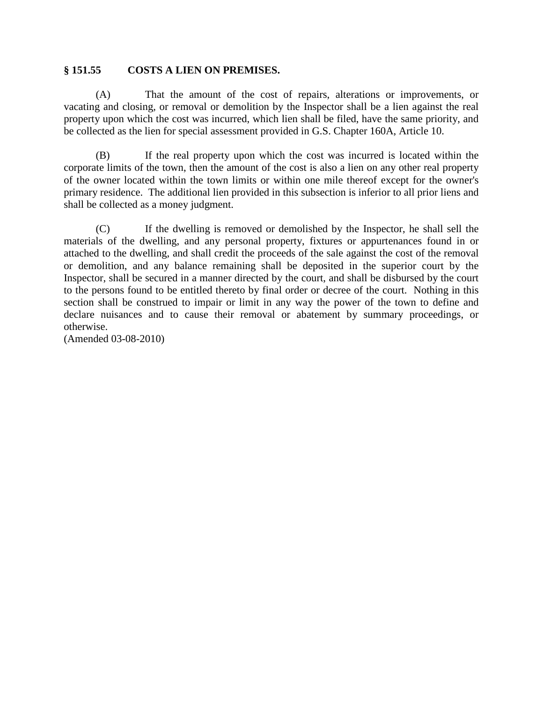#### **§ 151.55 COSTS A LIEN ON PREMISES.**

(A) That the amount of the cost of repairs, alterations or improvements, or vacating and closing, or removal or demolition by the Inspector shall be a lien against the real property upon which the cost was incurred, which lien shall be filed, have the same priority, and be collected as the lien for special assessment provided in G.S. Chapter 160A, Article 10.

(B) If the real property upon which the cost was incurred is located within the corporate limits of the town, then the amount of the cost is also a lien on any other real property of the owner located within the town limits or within one mile thereof except for the owner's primary residence. The additional lien provided in this subsection is inferior to all prior liens and shall be collected as a money judgment.

(C) If the dwelling is removed or demolished by the Inspector, he shall sell the materials of the dwelling, and any personal property, fixtures or appurtenances found in or attached to the dwelling, and shall credit the proceeds of the sale against the cost of the removal or demolition, and any balance remaining shall be deposited in the superior court by the Inspector, shall be secured in a manner directed by the court, and shall be disbursed by the court to the persons found to be entitled thereto by final order or decree of the court. Nothing in this section shall be construed to impair or limit in any way the power of the town to define and declare nuisances and to cause their removal or abatement by summary proceedings, or otherwise.

(Amended 03-08-2010)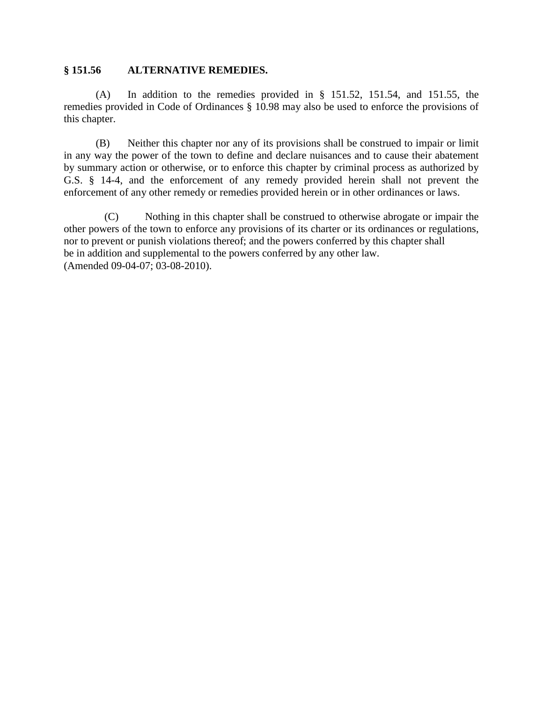#### **§ 151.56 ALTERNATIVE REMEDIES.**

(A) In addition to the remedies provided in § 151.52, 151.54, and 151.55, the remedies provided in Code of Ordinances § 10.98 may also be used to enforce the provisions of this chapter.

(B) Neither this chapter nor any of its provisions shall be construed to impair or limit in any way the power of the town to define and declare nuisances and to cause their abatement by summary action or otherwise, or to enforce this chapter by criminal process as authorized by G.S. § 14-4, and the enforcement of any remedy provided herein shall not prevent the enforcement of any other remedy or remedies provided herein or in other ordinances or laws.

(C) Nothing in this chapter shall be construed to otherwise abrogate or impair the other powers of the town to enforce any provisions of its charter or its ordinances or regulations, nor to prevent or punish violations thereof; and the powers conferred by this chapter shall be in addition and supplemental to the powers conferred by any other law. (Amended 09-04-07; 03-08-2010).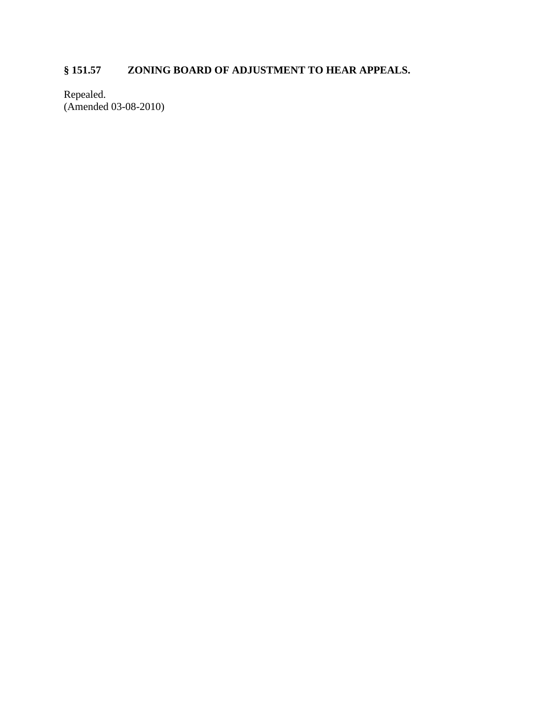# **§ 151.57 ZONING BOARD OF ADJUSTMENT TO HEAR APPEALS.**

Repealed. (Amended 03-08-2010)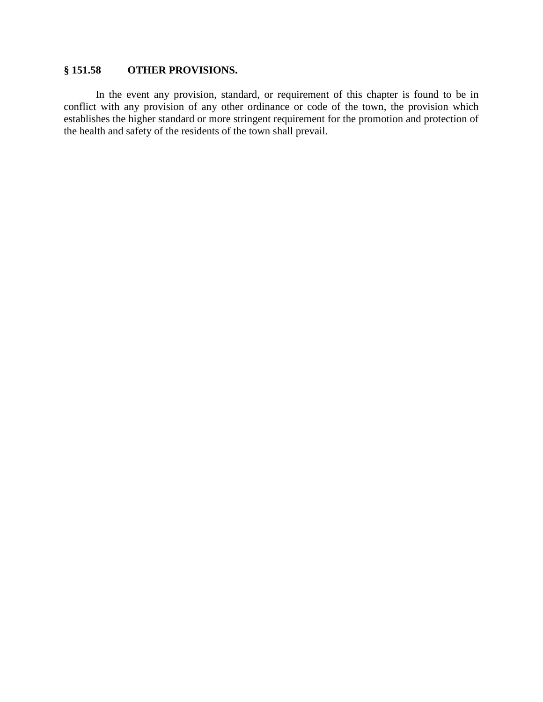## **§ 151.58 OTHER PROVISIONS.**

In the event any provision, standard, or requirement of this chapter is found to be in conflict with any provision of any other ordinance or code of the town, the provision which establishes the higher standard or more stringent requirement for the promotion and protection of the health and safety of the residents of the town shall prevail.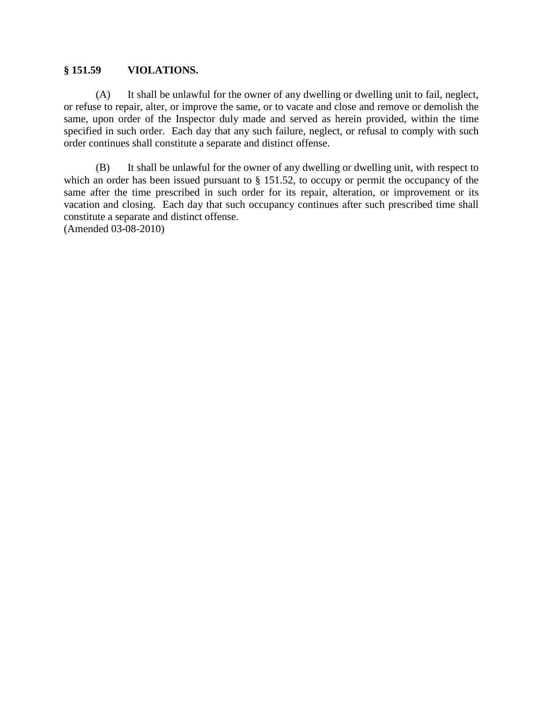#### **§ 151.59 VIOLATIONS.**

(A) It shall be unlawful for the owner of any dwelling or dwelling unit to fail, neglect, or refuse to repair, alter, or improve the same, or to vacate and close and remove or demolish the same, upon order of the Inspector duly made and served as herein provided, within the time specified in such order. Each day that any such failure, neglect, or refusal to comply with such order continues shall constitute a separate and distinct offense.

(B) It shall be unlawful for the owner of any dwelling or dwelling unit, with respect to which an order has been issued pursuant to  $\S$  151.52, to occupy or permit the occupancy of the same after the time prescribed in such order for its repair, alteration, or improvement or its vacation and closing. Each day that such occupancy continues after such prescribed time shall constitute a separate and distinct offense.

(Amended 03-08-2010)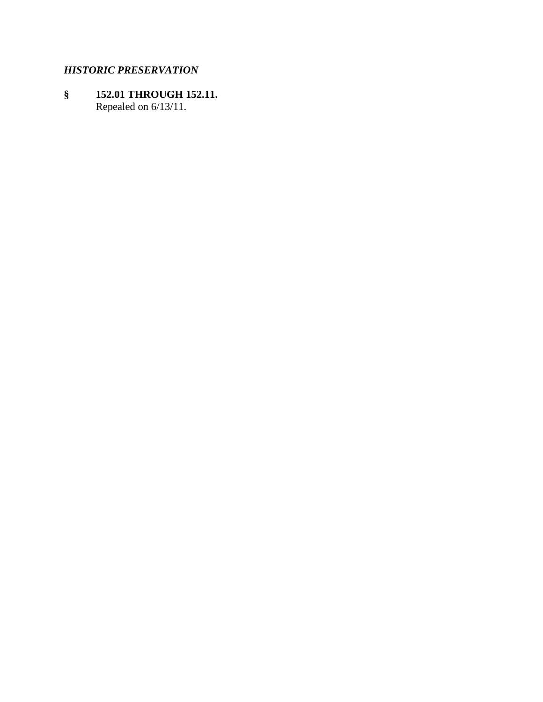## *HISTORIC PRESERVATION*

**§ 152.01 THROUGH 152.11.** Repealed on 6/13/11.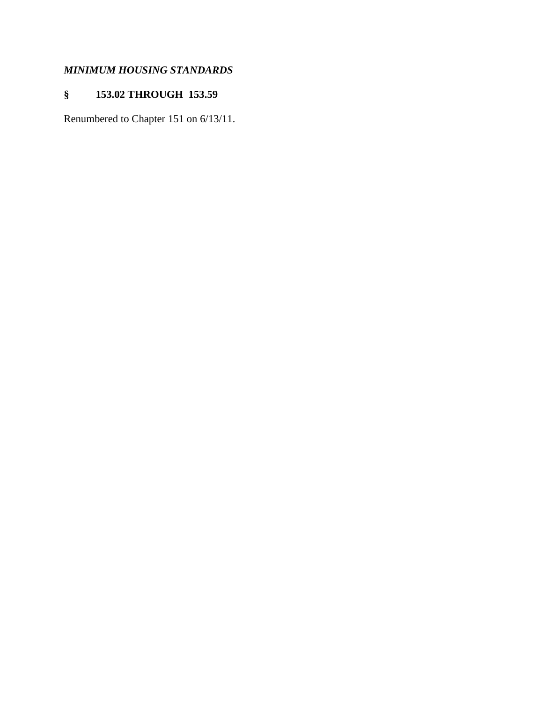## *MINIMUM HOUSING STANDARDS*

## **§ 153.02 THROUGH 153.59**

Renumbered to Chapter 151 on 6/13/11.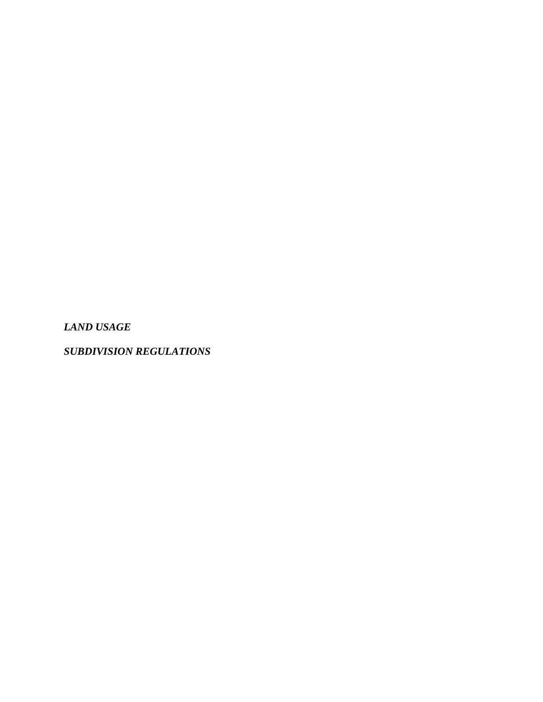*LAND USAGE*

*SUBDIVISION REGULATIONS*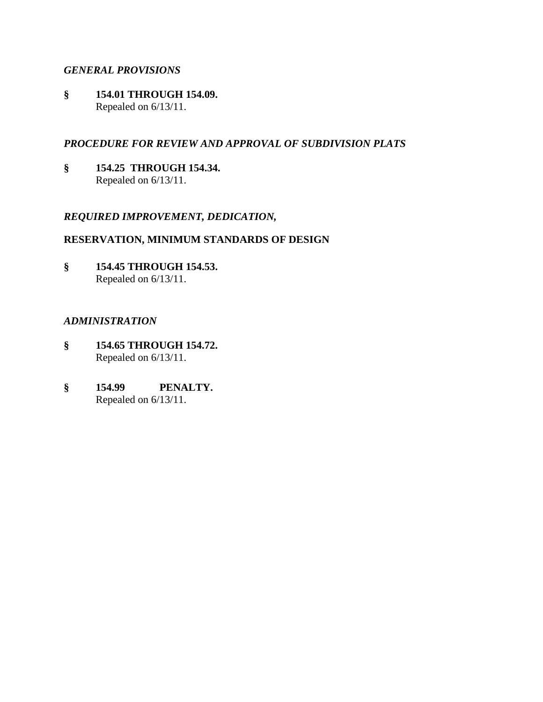## *GENERAL PROVISIONS*

**§ 154.01 THROUGH 154.09.** Repealed on 6/13/11.

## *PROCEDURE FOR REVIEW AND APPROVAL OF SUBDIVISION PLATS*

**§ 154.25 THROUGH 154.34.**  Repealed on 6/13/11.

## *REQUIRED IMPROVEMENT, DEDICATION,*

### **RESERVATION, MINIMUM STANDARDS OF DESIGN**

**§ 154.45 THROUGH 154.53.** Repealed on 6/13/11.

### *ADMINISTRATION*

- **§ 154.65 THROUGH 154.72.** Repealed on 6/13/11.
- **§ 154.99 PENALTY.** Repealed on 6/13/11.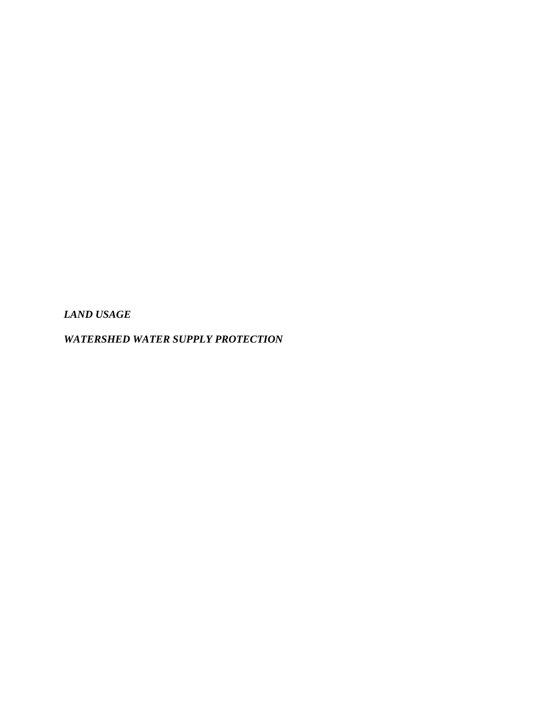*LAND USAGE*

*WATERSHED WATER SUPPLY PROTECTION*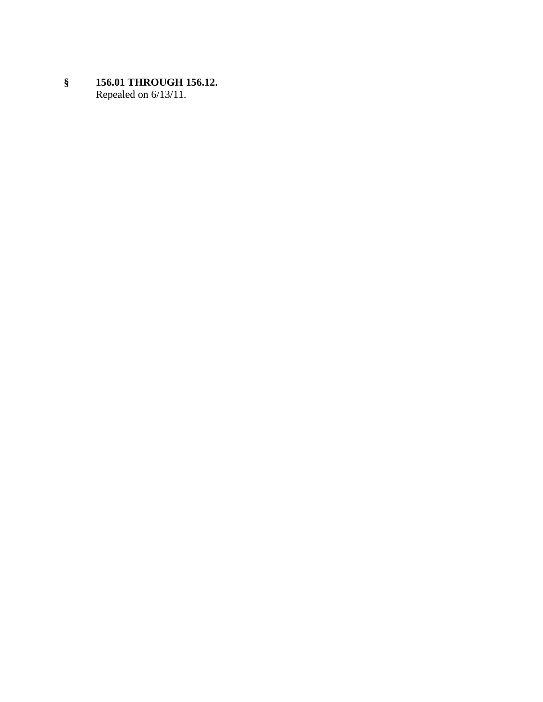**§ 156.01 THROUGH 156.12.** Repealed on 6/13/11.